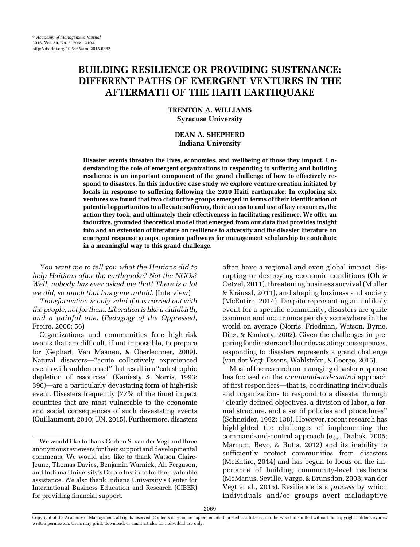# BUILDING RESILIENCE OR PROVIDING SUSTENANCE: DIFFERENT PATHS OF EMERGENT VENTURES IN THE AFTERMATH OF THE HAITI EARTHQUAKE

# TRENTON A. WILLIAMS Syracuse University

# DEAN A. SHEPHERD Indiana University

Disaster events threaten the lives, economies, and wellbeing of those they impact. Understanding the role of emergent organizations in responding to suffering and building resilience is an important component of the grand challenge of how to effectively respond to disasters. In this inductive case study we explore venture creation initiated by locals in response to suffering following the 2010 Haiti earthquake. In exploring six ventures we found that two distinctive groups emerged in terms of their identification of potential opportunities to alleviate suffering, their access to and use of key resources, the action they took, and ultimately their effectiveness in facilitating resilience. We offer an inductive, grounded theoretical model that emerged from our data that provides insight into and an extension of literature on resilience to adversity and the disaster literature on emergent response groups, opening pathways for management scholarship to contribute in a meaningful way to this grand challenge.

You want me to tell you what the Haitians did to help Haitians after the earthquake? Not the NGOs? Well, nobody has ever asked me that! There is a lot we did, so much that has gone untold. (Interview)

Transformation is only valid if it is carried out with the people, not for them. Liberation is like a childbirth, and a painful one. (Pedagogy of the Oppressed, [Freire, 2000](#page-29-0): 56)

Organizations and communities face high-risk events that are difficult, if not impossible, to prepare for [\(Gephart, Van Maanen, & Oberlechner, 2009](#page-29-0)). Natural disasters—"acute collectively experienced events with sudden onset" that result in a "catastrophic depletion of resources" [\(Kaniasty & Norris, 1993](#page-30-0): 396)—are a particularly devastating form of high-risk event. Disasters frequently (77% of the time) impact countries that are most vulnerable to the economic and social consequences of such devastating events [\(Guillaumont, 2010;](#page-30-0) [UN, 2015\)](#page-31-0). Furthermore, disasters

often have a regional and even global impact, disrupting or destroying economic conditions ([Oh &](#page-31-0) [Oetzel, 2011](#page-31-0)), threatening business survival ([Muller](#page-30-0) [& Kraussl, 2011](#page-30-0)), and shaping business and society ¨ [\(McEntire, 2014\)](#page-30-0). Despite representing an unlikely event for a specific community, disasters are quite common and occur once per day somewhere in the world on average (Norris, [Friedman, Watson, Byrne,](#page-30-0) [Diaz, & Kaniasty, 2002\)](#page-30-0). Given the challenges in preparing for disasters and their devastating consequences, responding to disasters represents a grand challenge [\(van der Vegt, Essens, Wahlstr](#page-31-0)ö[m, & George, 2015](#page-31-0)).

Most of the research on managing disaster response has focused on the command-and-control approach of first responders—that is, coordinating individuals and organizations to respond to a disaster through "clearly defined objectives, a division of labor, a formal structure, and a set of policies and procedures" [\(Schneider, 1992:](#page-31-0) 138). However, recent research has highlighted the challenges of implementing the command-and-control approach (e.g., [Drabek, 2005](#page-29-0); [Marcum, Bevc, & Butts, 2012](#page-30-0)) and its inability to sufficiently protect communities from disasters [\(McEntire, 2014\)](#page-30-0) and has begun to focus on the importance of building community-level resilience [\(McManus, Seville, Vargo, & Brunsdon, 2008;](#page-30-0) [van der](#page-31-0) [Vegt et al., 2015](#page-31-0)). Resilience is a process by which individuals and/or groups avert maladaptive

We would like to thank Gerben S. van der Vegt and three anonymous reviewers for their support and developmental comments. We would also like to thank Watson Claire-Jeune, Thomas Davies, Benjamin Warnick, Ali Ferguson, and Indiana University's Creole Institute for their valuable assistance. We also thank Indiana University's Center for International Business Education and Research (CIBER) for providing financial support.

Copyright of the Academy of Management, all rights reserved. Contents may not be copied, emailed, posted to a listserv, or otherwise transmitted without the copyright holder's express written permission. Users may print, download, or email articles for individual use only.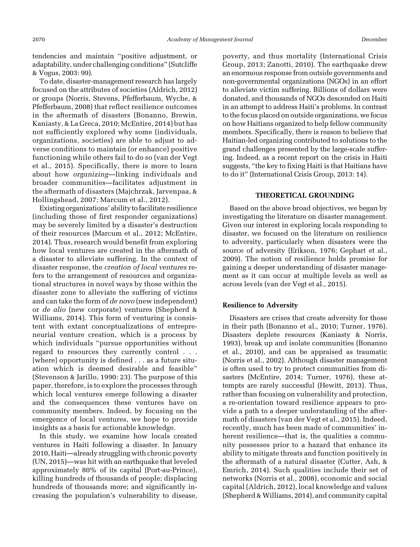tendencies and maintain "positive adjustment, or adaptability, under challenging conditions" ([Sutcliffe](#page-31-0) [& Vogus, 2003](#page-31-0): 99).

To date, disaster-management research has largely focused on the attributes of societies ([Aldrich, 2012\)](#page-28-0) or groups ([Norris, Stevens, Pfefferbaum, Wyche, &](#page-30-0) [Pfefferbaum, 2008\)](#page-30-0) that reflect resilience outcomes in the aftermath of disasters ([Bonanno, Brewin,](#page-29-0) [Kaniasty, & La Greca, 2010;](#page-29-0) [McEntire, 2014\)](#page-30-0) but has not sufficiently explored why some (individuals, organizations, societies) are able to adjust to adverse conditions to maintain (or enhance) positive functioning while others fail to do so [\(van der Vegt](#page-31-0) [et al., 2015](#page-31-0)). Specifically, there is more to learn about how organizing—linking individuals and broader communities—facilitates adjustment in the aftermath of disasters [\(Majchrzak, Jarvenpaa, &](#page-30-0) [Hollingshead, 2007; Marcum et al., 2012](#page-30-0)).

Existing organizations' ability to facilitate resilience (including those of first responder organizations) may be severely limited by a disaster's destruction of their resources ([Marcum et al., 2012; McEntire,](#page-30-0) [2014](#page-30-0)). Thus, research would benefit from exploring how local ventures are created in the aftermath of a disaster to alleviate suffering. In the context of disaster response, the creation of local ventures refers to the arrangement of resources and organizational structures in novel ways by those within the disaster zone to alleviate the suffering of victims and can take the form of de novo (new independent) or de alio (new corporate) ventures [\(Shepherd &](#page-31-0) [Williams, 2014](#page-31-0)). This form of venturing is consistent with extant conceptualizations of entrepreneurial venture creation, which is a process by which individuals "pursue opportunities without regard to resources they currently control . . . [where] opportunity is defined . . . as a future situation which is deemed desirable and feasible" [\(Stevenson & Jarillo, 1990:](#page-31-0) 23). The purpose of this paper, therefore, is to explore the processes through which local ventures emerge following a disaster and the consequences these ventures have on community members. Indeed, by focusing on the emergence of local ventures, we hope to provide insights as a basis for actionable knowledge.

In this study, we examine how locals created ventures in Haiti following a disaster. In January 2010, Haiti—already struggling with chronic poverty [\(UN, 2015](#page-31-0))—was hit with an earthquake that leveled approximately 80% of its capital (Port-au-Prince), killing hundreds of thousands of people; displacing hundreds of thousands more; and significantly increasing the population's vulnerability to disease,

poverty, and thus mortality [\(International Crisis](#page-30-0) [Group, 2013;](#page-30-0) [Zanotti, 2010](#page-32-0)). The earthquake drew an enormous response from outside governments and non-governmental organizations (NGOs) in an effort to alleviate victim suffering. Billions of dollars were donated, and thousands of NGOs descended on Haiti in an attempt to address Haiti's problems. In contrast to the focus placed on outside organizations, we focus on how Haitians organized to help fellow community members. Specifically, there is reason to believe that Haitian-led organizing contributed to solutions to the grand challenges presented by the large-scale suffering. Indeed, as a recent report on the crisis in Haiti suggests, "the key to fixing Haiti is that Haitians have to do it" ([International Crisis Group, 2013:](#page-30-0) 14).

# THEORETICAL GROUNDING

Based on the above broad objectives, we began by investigating the literature on disaster management. Given our interest in exploring locals responding to disaster, we focused on the literature on resilience to adversity, particularly when disasters were the source of adversity [\(Erikson, 1976; Gephart et al.,](#page-29-0) [2009\)](#page-29-0). The notion of resilience holds promise for gaining a deeper understanding of disaster management as it can occur at multiple levels as well as across levels ([van der Vegt et al., 2015\)](#page-31-0).

#### Resilience to Adversity

Disasters are crises that create adversity for those in their path [\(Bonanno et al., 2010;](#page-29-0) [Turner, 1976](#page-31-0)). Disasters deplete resources [\(Kaniasty & Norris,](#page-30-0) [1993\)](#page-30-0), break up and isolate communities [\(Bonanno](#page-29-0) [et al., 2010](#page-29-0)), and can be appraised as traumatic [\(Norris et al., 2002](#page-30-0)). Although disaster management is often used to try to protect communities from disasters ([McEntire, 2014;](#page-30-0) [Turner, 1976\)](#page-31-0), these attempts are rarely successful ([Hewitt, 2013](#page-30-0)). Thus, rather than focusing on vulnerability and protection, a re-orientation toward resilience appears to provide a path to a deeper understanding of the aftermath of disasters [\(van der Vegt et al., 2015](#page-31-0)). Indeed, recently, much has been made of communities' inherent resilience—that is, the qualities a community possesses prior to a hazard that enhance its ability to mitigate threats and function positively in the aftermath of a natural disaster ([Cutter, Ash, &](#page-29-0) [Emrich, 2014](#page-29-0)). Such qualities include their set of networks [\(Norris et al., 2008](#page-30-0)), economic and social capital ([Aldrich, 2012](#page-28-0)), local knowledge and values [\(Shepherd & Williams, 2014](#page-31-0)), and community capital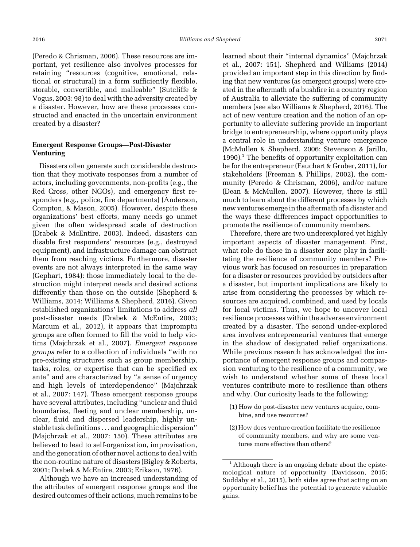[\(Peredo & Chrisman, 2006\)](#page-31-0). These resources are important, yet resilience also involves processes for retaining "resources (cognitive, emotional, relational or structural) in a form sufficiently flexible, storable, convertible, and malleable" ([Sutcliffe &](#page-31-0) [Vogus, 2003](#page-31-0): 98) to deal with the adversity created by a disaster. However, how are these processes constructed and enacted in the uncertain environment created by a disaster?

### Emergent Response Groups—Post-Disaster Venturing

Disasters often generate such considerable destruction that they motivate responses from a number of actors, including governments, non-profits (e.g., the Red Cross, other NGOs), and emergency first responders (e.g., police, fire departments) ([Anderson,](#page-29-0) [Compton, & Mason, 2005\)](#page-29-0). However, despite these organizations' best efforts, many needs go unmet given the often widespread scale of destruction [\(Drabek & McEntire, 2003\)](#page-29-0). Indeed, disasters can disable first responders' resources (e.g., destroyed equipment), and infrastructure damage can obstruct them from reaching victims. Furthermore, disaster events are not always interpreted in the same way [\(Gephart, 1984](#page-29-0)): those immediately local to the destruction might interpret needs and desired actions differently than those on the outside [\(Shepherd &](#page-31-0) [Williams, 2014](#page-31-0); [Williams & Shepherd, 2016\)](#page-31-0). Given established organizations' limitations to address all post-disaster needs [\(Drabek & McEntire, 2003](#page-29-0); [Marcum et al., 2012\)](#page-30-0), it appears that impromptu groups are often formed to fill the void to help victims ([Majchrzak et al., 2007\)](#page-30-0). Emergent response groups refer to a collection of individuals "with no pre-existing structures such as group membership, tasks, roles, or expertise that can be specified ex ante" and are characterized by "a sense of urgency and high levels of interdependence" ([Majchrzak](#page-30-0) [et al., 2007:](#page-30-0) 147). These emergent response groups have several attributes, including "unclear and fluid boundaries, fleeting and unclear membership, unclear, fluid and dispersed leadership, highly unstable task definitions . . . and geographic dispersion" [\(Majchrzak et al., 2007](#page-30-0): 150). These attributes are believed to lead to self-organization, improvisation, and the generation of other novel actions to deal with the non-routine nature of disasters [\(Bigley & Roberts,](#page-29-0) [2001; Drabek & McEntire, 2003; Erikson, 1976\)](#page-29-0).

Although we have an increased understanding of the attributes of emergent response groups and the desired outcomes of their actions, much remains to be

learned about their "internal dynamics" [\(Majchrzak](#page-30-0) [et al., 2007:](#page-30-0) 151). [Shepherd and Williams \(2014\)](#page-31-0) provided an important step in this direction by finding that new ventures (as emergent groups) were created in the aftermath of a bushfire in a country region of Australia to alleviate the suffering of community members (see also [Williams & Shepherd, 2016\)](#page-31-0). The act of new venture creation and the notion of an opportunity to alleviate suffering provide an important bridge to entrepreneurship, where opportunity plays a central role in understanding venture emergence [\(McMullen & Shepherd, 2006](#page-30-0); [Stevenson & Jarillo,](#page-31-0)  $1990$ .<sup>1</sup> The benefits of opportunity exploitation can be for the entrepreneur ([Fauchart & Gruber, 2011\)](#page-29-0), for stakeholders ([Freeman & Phillips, 2002\)](#page-29-0), the community [\(Peredo & Chrisman, 2006](#page-31-0)), and/or nature [\(Dean & McMullen, 2007](#page-29-0)). However, there is still much to learn about the different processes by which new ventures emerge in the aftermath of a disaster and the ways these differences impact opportunities to promote the resilience of community members.

Therefore, there are two underexplored yet highly important aspects of disaster management. First, what role do those in a disaster zone play in facilitating the resilience of community members? Previous work has focused on resources in preparation for a disaster or resources provided by outsiders after a disaster, but important implications are likely to arise from considering the processes by which resources are acquired, combined, and used by locals for local victims. Thus, we hope to uncover local resilience processes within the adverse environment created by a disaster. The second under-explored area involves entrepreneurial ventures that emerge in the shadow of designated relief organizations. While previous research has acknowledged the importance of emergent response groups and compassion venturing to the resilience of a community, we wish to understand whether some of these local ventures contribute more to resilience than others and why. Our curiosity leads to the following:

- (1) How do post-disaster new ventures acquire, combine, and use resources?
- (2) How does venture creation facilitate the resilience of community members, and why are some ventures more effective than others?

<sup>&</sup>lt;sup>1</sup> Although there is an ongoing debate about the epistemological nature of opportunity ([Davidsson, 2015;](#page-29-0) [Suddaby et al., 2015\)](#page-31-0), both sides agree that acting on an opportunity belief has the potential to generate valuable gains.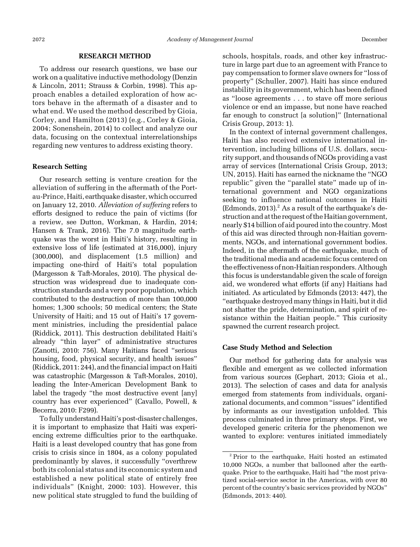### RESEARCH METHOD

To address our research questions, we base our work on a qualitative inductive methodology [\(Denzin](#page-29-0) [& Lincoln, 2011](#page-29-0); [Strauss & Corbin, 1998\)](#page-31-0). This approach enables a detailed exploration of how actors behave in the aftermath of a disaster and to what end. We used the method described by [Gioia,](#page-30-0) [Corley, and Hamilton \(2013\)](#page-30-0) (e.g., [Corley & Gioia,](#page-29-0) [2004;](#page-29-0) [Sonenshein, 2014](#page-31-0)) to collect and analyze our data, focusing on the contextual interrelationships regarding new ventures to address existing theory.

### Research Setting

Our research setting is venture creation for the alleviation of suffering in the aftermath of the Portau-Prince, Haiti, earthquake disaster, which occurred on January 12, 2010. Alleviation of suffering refers to efforts designed to reduce the pain of victims (for a review, see [Dutton, Workman, & Hardin, 2014](#page-29-0); [Hansen & Trank, 2016\)](#page-30-0). The 7.0 magnitude earthquake was the worst in Haiti's history, resulting in extensive loss of life (estimated at 316,000), injury (300,000), and displacement (1.5 million) and impacting one-third of Haiti's total population [\(Margesson & Taft-Morales, 2010\)](#page-30-0). The physical destruction was widespread due to inadequate construction standards and a very poor population, which contributed to the destruction of more than 100,000 homes; 1,300 schools; 50 medical centers; the State University of Haiti; and 15 out of Haiti's 17 government ministries, including the presidential palace [\(Riddick, 2011\)](#page-31-0). This destruction debilitated Haiti's already "thin layer" of administrative structures [\(Zanotti, 2010:](#page-32-0) 756). Many Haitians faced "serious housing, food, physical security, and health issues" [\(Riddick, 2011:](#page-31-0) 244), and the financial impact on Haiti was catastrophic ([Margesson & Taft-Morales, 2010](#page-30-0)), leading the Inter-American Development Bank to label the tragedy "the most destructive event [any] country has ever experienced" [\(Cavallo, Powell, &](#page-29-0) [Becerra, 2010:](#page-29-0) F299).

To fully understand Haiti's post-disaster challenges, it is important to emphasize that Haiti was experiencing extreme difficulties prior to the earthquake. Haiti is a least developed country that has gone from crisis to crisis since in 1804, as a colony populated predominantly by slaves, it successfully "overthrew both its colonial status and its economic system and established a new political state of entirely free individuals" [\(Knight, 2000](#page-30-0): 103). However, this new political state struggled to fund the building of schools, hospitals, roads, and other key infrastructure in large part due to an agreement with France to pay compensation to former slave owners for "loss of property" [\(Schuller, 2007](#page-31-0)). Haiti has since endured instability in its government, which has been defined as "loose agreements . . . to stave off more serious violence or end an impasse, but none have reached far enough to construct [a solution]" ([International](#page-30-0) [Crisis Group, 2013:](#page-30-0) 1).

In the context of internal government challenges, Haiti has also received extensive international intervention, including billions of U.S. dollars, security support, and thousands of NGOs providing a vast array of services [\(International Crisis Group, 2013](#page-30-0); [UN, 2015](#page-31-0)). Haiti has earned the nickname the "NGO republic" given the "parallel state" made up of international government and NGO organizations seeking to influence national outcomes in Haiti [\(Edmonds, 2013\)](#page-29-0). $^2$  As a result of the earthquake's destruction and at the request of the Haitian government, nearly \$14 billion of aid poured into the country. Most of this aid was directed through non-Haitian governments, NGOs, and international government bodies. Indeed, in the aftermath of the earthquake, much of the traditional media and academic focus centered on the effectiveness of non-Haitian responders. Although this focus is understandable given the scale of foreign aid, we wondered what efforts (if any) Haitians had initiated. As articulated by [Edmonds \(2013](#page-29-0): 447), the "earthquake destroyed many things in Haiti, but it did not shatter the pride, determination, and spirit of resistance within the Haitian people." This curiosity spawned the current research project.

#### Case Study Method and Selection

Our method for gathering data for analysis was flexible and emergent as we collected information from various sources [\(Gephart, 2013](#page-29-0); [Gioia et al.,](#page-30-0) [2013\)](#page-30-0). The selection of cases and data for analysis emerged from statements from individuals, organizational documents, and common "issues" identified by informants as our investigation unfolded. This process culminated in three primary steps. First, we developed generic criteria for the phenomenon we wanted to explore: ventures initiated immediately

<sup>2</sup> Prior to the earthquake, Haiti hosted an estimated 10,000 NGOs, a number that ballooned after the earthquake. Prior to the earthquake, Haiti had "the most privatized social-service sector in the Americas, with over 80 percent of the country's basic services provided by NGOs" ([Edmonds, 2013:](#page-29-0) 440).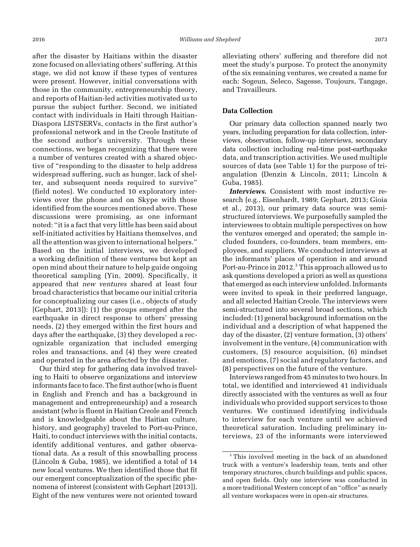after the disaster by Haitians within the disaster zone focused on alleviating others' suffering. At this stage, we did not know if these types of ventures were present. However, initial conversations with those in the community, entrepreneurship theory, and reports of Haitian-led activities motivated us to pursue the subject further. Second, we initiated contact with individuals in Haiti through Haitian-Diaspora LISTSERVs, contacts in the first author's professional network and in the Creole Institute of the second author's university. Through these connections, we began recognizing that there were a number of ventures created with a shared objective of "responding to the disaster to help address widespread suffering, such as hunger, lack of shelter, and subsequent needs required to survive" (field notes). We conducted 10 exploratory interviews over the phone and on Skype with those identified from the sources mentioned above. These discussions were promising, as one informant noted: "it is a fact that very little has been said about self-initiated activities by Haitians themselves, and all the attention was given to international helpers." Based on the initial interviews, we developed a working definition of these ventures but kept an open mind about their nature to help guide ongoing theoretical sampling [\(Yin, 2009](#page-32-0)). Specifically, it appeared that new ventures shared at least four broad characteristics that became our initial criteria for conceptualizing our cases (i.e., objects of study [\[Gephart, 2013](#page-29-0)]): (1) the groups emerged after the earthquake in direct response to others' pressing needs, (2) they emerged within the first hours and days after the earthquake, (3) they developed a recognizable organization that included emerging roles and transactions, and (4) they were created and operated in the area affected by the disaster.

Our third step for gathering data involved traveling to Haiti to observe organizations and interview informants face to face. The first author (who is fluent in English and French and has a background in management and entrepreneurship) and a research assistant (who is fluent in Haitian Creole and French and is knowledgeable about the Haitian culture, history, and geography) traveled to Port-au-Prince, Haiti, to conduct interviews with the initial contacts, identify additional ventures, and gather observational data. As a result of this snowballing process [\(Lincoln & Guba, 1985\)](#page-30-0), we identified a total of 14 new local ventures. We then identified those that fit our emergent conceptualization of the specific phenomena of interest (consistent with [Gephart \[2013\]](#page-29-0)). Eight of the new ventures were not oriented toward

alleviating others' suffering and therefore did not meet the study's purpose. To protect the anonymity of the six remaining ventures, we created a name for each: Sogeun, Seleco, Sagesse, Toujours, Tangage, and Travailleurs.

### Data Collection

Our primary data collection spanned nearly two years, including preparation for data collection, interviews, observation, follow-up interviews, secondary data collection including real-time post-earthquake data, and transcription activities. We used multiple sources of data (see [Table 1](#page-5-0)) for the purpose of triangulation [\(Denzin & Lincoln, 2011](#page-29-0); [Lincoln &](#page-30-0) [Guba, 1985\)](#page-30-0).

Interviews. Consistent with most inductive research (e.g., [Eisenhardt, 1989](#page-29-0); [Gephart, 2013](#page-29-0); [Gioia](#page-30-0) [et al., 2013\)](#page-30-0), our primary data source was semistructured interviews. We purposefully sampled the interviewees to obtain multiple perspectives on how the ventures emerged and operated; the sample included founders, co-founders, team members, employees, and suppliers. We conducted interviews at the informants' places of operation in and around Port-au-Prince in 2012.<sup>3</sup> This approach allowed us to ask questions developed a priori as well as questions that emerged as each interview unfolded. Informants were invited to speak in their preferred language, and all selected Haitian Creole. The interviews were semi-structured into several broad sections, which included: (1) general background information on the individual and a description of what happened the day of the disaster, (2) venture formation, (3) others' involvement in the venture, (4) communication with customers, (5) resource acquisition, (6) mindset and emotions, (7) social and regulatory factors, and (8) perspectives on the future of the venture.

Interviews ranged from 45 minutes to two hours. In total, we identified and interviewed 41 individuals directly associated with the ventures as well as four individuals who provided support services to those ventures. We continued identifying individuals to interview for each venture until we achieved theoretical saturation. Including preliminary interviews, 23 of the informants were interviewed

<sup>3</sup> This involved meeting in the back of an abandoned truck with a venture's leadership team, tents and other temporary structures, church buildings and public spaces, and open fields. Only one interview was conducted in a more traditional Western concept of an "office" as nearly all venture workspaces were in open-air structures.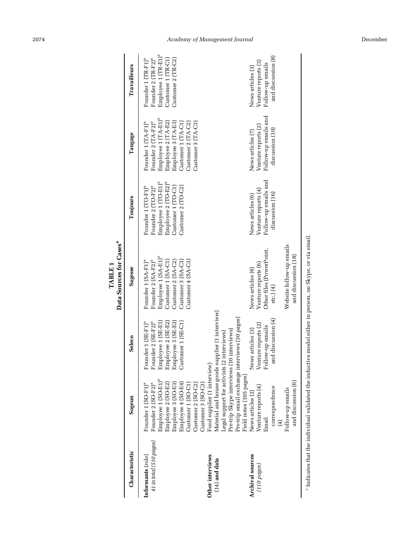<span id="page-5-0"></span>

|                                              |                                                                                                                                                                                                                                         |                                                                                                                                                          | Data Sources for Cases <sup>a</sup>                                                                                                                                                         |                                                                                                                                                                                    |                                                                                                                                                                                                                   |                                                                                                                                                 |
|----------------------------------------------|-----------------------------------------------------------------------------------------------------------------------------------------------------------------------------------------------------------------------------------------|----------------------------------------------------------------------------------------------------------------------------------------------------------|---------------------------------------------------------------------------------------------------------------------------------------------------------------------------------------------|------------------------------------------------------------------------------------------------------------------------------------------------------------------------------------|-------------------------------------------------------------------------------------------------------------------------------------------------------------------------------------------------------------------|-------------------------------------------------------------------------------------------------------------------------------------------------|
| Characteristic                               | Sogeun                                                                                                                                                                                                                                  | Seleco                                                                                                                                                   | Sagesse                                                                                                                                                                                     | Toujours                                                                                                                                                                           | Tangage                                                                                                                                                                                                           | Travailleurs                                                                                                                                    |
| 41 in total (510 pages)<br>Informants (role) | Employee 1 (SO-E1) <sup>ª</sup><br>Customer 3 (SO-C3)<br>Employee 2 (SO-E2)<br>Employee 3 (SO-E3)<br>Employee 4 (SO-E4)<br>Founder 2 (SO-F2) <sup>ª</sup><br>Customer 2 (SO-C2)<br>Founder 1 (SO-F1) <sup>ª</sup><br>Customer 1 (SO-C1) | Imployee 3 (SE-E3)<br>Imployee 1 (SE-E1)<br>Imployee 2 (SE-E2)<br>Lustomer 1 (SE-C1)<br>"ounder 1 (SE-F1) <sup>ª</sup><br>'ounder 2 (SE-F2) <sup>ª</sup> | Employee 1 (SA-E1) <sup>ª</sup><br>Customer 3 (SA-C3)<br>Customer 4 (SA-C3)<br>Founder 2 (SA-F2) <sup>ª</sup><br>Customer 1 (SA-C1)<br>Customer 2 (SA-C2)<br>Founder 1 (SA-F1) <sup>ª</sup> | Employee 2 (TO-E2) <sup>ª</sup><br>Employee 1 (TO-E1) <sup>ª</sup><br>Customer 1 (TO-C1)<br>Customer 2 (TO-C2)<br>Founder 2 (TO-F2) <sup>ª</sup><br>Founder 1 (TO-F1) <sup>ª</sup> | Employee 1 (TA-E1) <sup>ª</sup><br>Employee 2 (TA-E2)<br>Employee 3 (TA-E3)<br>Founder 1 (TA-F1) <sup>ª</sup><br>Founder 2 (TA-F2) <sup>ª</sup><br>Customer 1 (TA-C1)<br>Customer 3 (TA-C3)<br>Customer 2 (TA-C2) | Employee 1 (TR-E1) <sup>ª</sup><br>Customer 1 (TR-C1)<br>Customer 2 (TR-C2)<br>Founder 1 (TR-F1) <sup>ª</sup><br>Founder 2 (TR-F2) <sup>ª</sup> |
| Other interviews<br>$(14)$ and data          | Pre-trip Skype interviews (10 interviews)<br>Legal support for activists (2 interviews)<br>Food supplier (1 interview)<br>Material and house goods<br>Field notes (105 pages)                                                           | supplier (1 interview)<br>Pre-trip email exchange interviews (30 pages)                                                                                  |                                                                                                                                                                                             |                                                                                                                                                                                    |                                                                                                                                                                                                                   |                                                                                                                                                 |
| Archival sources<br>$(110$ $pages)$          | and discussion (6)<br>Venture reports (4)<br>correspondence<br>Follow-up emails<br>News articles (2)<br>Email<br>$\overline{4}$                                                                                                         | and discussion (4)<br>/enture reports (2)<br>Follow-up emails<br>News articles (3)                                                                       | Website follow-up emails<br>Other files (PowerPoint,<br>and discussion (18)<br>Venture reports (6)<br>News articles (6)<br>etc.) $(4)$                                                      | Follow-up emails and<br>Venture reports (4)<br>discussion (16)<br>News articles (6)                                                                                                | Follow-up emails and<br>Venture reports (2)<br>discussion (10)<br>News articles (7)                                                                                                                               | and discussion (8)<br>Venture reports (3)<br>Follow-up emails<br>News articles (3)                                                              |
|                                              |                                                                                                                                                                                                                                         |                                                                                                                                                          |                                                                                                                                                                                             |                                                                                                                                                                                    |                                                                                                                                                                                                                   |                                                                                                                                                 |

TABLE 1

TABLE 1

<sup>a</sup> Indicates that the individual validated the inductive model either in person, on Skype, or via email. Indicates that the individual validated the inductive model either in person, on Skype, or via email.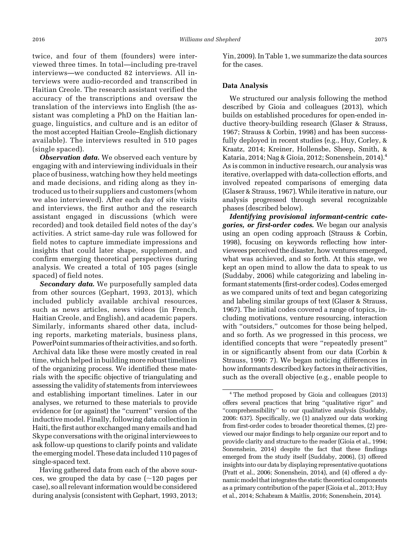twice, and four of them (founders) were interviewed three times. In total—including pre-travel interviews—we conducted 82 interviews. All interviews were audio-recorded and transcribed in Haitian Creole. The research assistant verified the accuracy of the transcriptions and oversaw the translation of the interviews into English (the assistant was completing a PhD on the Haitian language, linguistics, and culture and is an editor of the most accepted Haitian Creole–English dictionary available). The interviews resulted in 510 pages (single spaced).

Observation data. We observed each venture by engaging with and interviewing individuals in their place of business, watching how they held meetings and made decisions, and riding along as they introduced us to their suppliers and customers (whom we also interviewed). After each day of site visits and interviews, the first author and the research assistant engaged in discussions (which were recorded) and took detailed field notes of the day's activities. A strict same-day rule was followed for field notes to capture immediate impressions and insights that could later shape, supplement, and confirm emerging theoretical perspectives during analysis. We created a total of 105 pages (single spaced) of field notes.

Secondary data. We purposefully sampled data from other sources [\(Gephart, 1993, 2013\)](#page-29-0), which included publicly available archival resources, such as news articles, news videos (in French, Haitian Creole, and English), and academic papers. Similarly, informants shared other data, including reports, marketing materials, business plans, PowerPoint summaries of their activities, and so forth. Archival data like these were mostly created in real time, which helped in building more robust timelines of the organizing process. We identified these materials with the specific objective of triangulating and assessing the validity of statements from interviewees and establishing important timelines. Later in our analyses, we returned to these materials to provide evidence for (or against) the "current" version of the inductive model. Finally, following data collection in Haiti, the first author exchanged many emails and had Skype conversations with the original interviewees to ask follow-up questions to clarify points and validate the emergingmodel. These data included 110 pages of single-spaced text.

Having gathered data from each of the above sources, we grouped the data by case  $\sim$  120 pages per case), so all relevant information would be considered during analysis (consistent with [Gephart, 1993](#page-29-0), [2013](#page-29-0); [Yin, 2009](#page-32-0)). In [Table 1,](#page-5-0) we summarize the data sources for the cases.

### Data Analysis

We structured our analysis following the method described by [Gioia and colleagues \(2013\),](#page-30-0) which builds on established procedures for open-ended inductive theory-building research [\(Glaser & Strauss,](#page-30-0) [1967;](#page-30-0) [Strauss & Corbin, 1998\)](#page-31-0) and has been successfully deployed in recent studies (e.g., [Huy, Corley, &](#page-30-0) [Kraatz, 2014](#page-30-0); [Kreiner, Hollensbe, Sheep, Smith, &](#page-30-0) [Kataria, 2014](#page-30-0); [Nag & Gioia, 2012;](#page-30-0) [Sonenshein, 2014\)](#page-31-0).4 As is common in inductive research, our analysis was iterative, overlapped with data-collection efforts, and involved repeated comparisons of emerging data [\(Glaser & Strauss, 1967\)](#page-30-0). While iterative in nature, our analysis progressed through several recognizable phases (described below).

Identifying provisional informant-centric categories, or first-order codes. We began our analysis using an open coding approach [\(Strauss & Corbin,](#page-31-0) [1998](#page-31-0)), focusing on keywords reflecting how interviewees perceived the disaster, how ventures emerged, what was achieved, and so forth. At this stage, we kept an open mind to allow the data to speak to us [\(Suddaby, 2006\)](#page-31-0) while categorizing and labeling informant statements (first-order codes). Codes emerged as we compared units of text and began categorizing and labeling similar groups of text [\(Glaser & Strauss,](#page-30-0) [1967](#page-30-0)). The initial codes covered a range of topics, including motivations, venture resourcing, interaction with "outsiders," outcomes for those being helped, and so forth. As we progressed in this process, we identified concepts that were "repeatedly present" in or significantly absent from our data ([Corbin &](#page-29-0) [Strauss, 1990:](#page-29-0) 7). We began noticing differences in how informants described key factors in their activities, such as the overall objective (e.g., enable people to

<sup>4</sup> The method proposed by [Gioia and colleagues \(2013\)](#page-30-0) offers several practices that bring "qualitative rigor" and "comprehensibility" to our qualitative analysis [\(Suddaby,](#page-31-0) [2006:](#page-31-0) 637). Specifically, we (1) analyzed our data working from first-order codes to broader theoretical themes, (2) previewed our major findings to help organize our report and to provide clarity and structure to the reader [\(Gioia et al., 1994;](#page-30-0) [Sonenshein, 2014](#page-31-0)) despite the fact that these findings emerged from the study itself [\(Suddaby, 2006\)](#page-31-0), (3) offered insights into our data by displaying representative quotations ([Pratt et al., 2006; Sonenshein, 2014](#page-31-0)), and (4) offered a dynamic model that integrates the static theoretical components as a primary contribution of the paper ([Gioia et al., 2013](#page-30-0); [Huy](#page-30-0) [et al., 2014;](#page-30-0) [Schabram & Maitlis, 2016](#page-31-0); [Sonenshein, 2014\)](#page-31-0).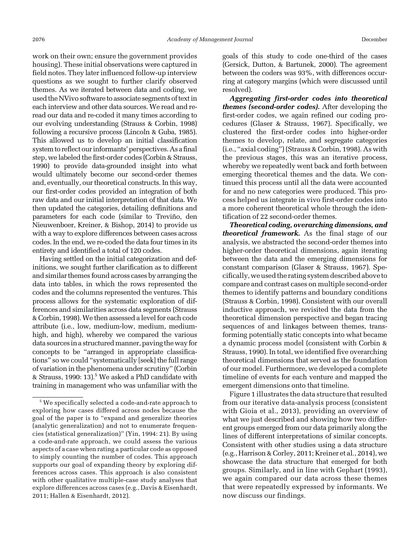work on their own; ensure the government provides housing). These initial observations were captured in field notes. They later influenced follow-up interview questions as we sought to further clarify observed themes. As we iterated between data and coding, we used the NVivo software to associate segments of text in each interview and other data sources. We read and reread our data and re-coded it many times according to our evolving understanding [\(Strauss & Corbin, 1998\)](#page-31-0) following a recursive process [\(Lincoln & Guba, 1985](#page-30-0)). This allowed us to develop an initial classification system to reflect our informants'perspectives. As a final step, we labeled the first-order codes ([Corbin & Strauss,](#page-29-0) [1990\)](#page-29-0) to provide data-grounded insight into what would ultimately become our second-order themes and, eventually, our theoretical constructs. In this way, our first-order codes provided an integration of both raw data and our initial interpretation of that data. We then updated the categories, detailing definitions and parameters for each code (similar to [Treviño, den](#page-31-0) [Nieuwenboer, Kreiner, & Bishop, 2014\)](#page-31-0) to provide us with a way to explore differences between cases across codes. In the end, we re-coded the data four times in its entirety and identified a total of 120 codes.

Having settled on the initial categorization and definitions, we sought further clarification as to different and similar themes found across cases by arranging the data into tables, in which the rows represented the codes and the columns represented the ventures. This process allows for the systematic exploration of differences and similarities across data segments (Strauss & Corbin, 1998).We then assessed a level for each code attribute (i.e., low, medium-low, medium, mediumhigh, and high), whereby we compared the various data sources in a structured manner, paving the way for concepts to be "arranged in appropriate classifications" so we could "systematically [seek] the full range of variation in the phenomena under scrutiny" [\(Corbin](#page-29-0) [& Strauss, 1990:](#page-29-0) 13).5 We asked a PhD candidate with training in management who was unfamiliar with the goals of this study to code one-third of the cases [\(Gersick, Dutton, & Bartunek, 2000](#page-30-0)). The agreement between the coders was 93%, with differences occurring at category margins (which were discussed until resolved).

Aggregating first-order codes into theoretical themes (second-order codes). After developing the first-order codes, we again refined our coding procedures ([Glaser & Strauss, 1967](#page-30-0)). Specifically, we clustered the first-order codes into higher-order themes to develop, relate, and segregate categories (i.e., "axial coding") [\(Strauss & Corbin, 1998](#page-31-0)). As with the previous stages, this was an iterative process, whereby we repeatedly went back and forth between emerging theoretical themes and the data. We continued this process until all the data were accounted for and no new categories were produced. This process helped us integrate in vivo first-order codes into a more coherent theoretical whole through the identification of 22 second-order themes.

Theoretical coding, overarching dimensions, and **theoretical framework.** As the final stage of our analysis, we abstracted the second-order themes into higher-order theoretical dimensions, again iterating between the data and the emerging dimensions for constant comparison ([Glaser & Strauss, 1967](#page-30-0)). Specifically, we used the rating system described above to compare and contrast cases on multiple second-order themes to identify patterns and boundary conditions [\(Strauss & Corbin, 1998](#page-31-0)). Consistent with our overall inductive approach, we revisited the data from the theoretical dimension perspective and began tracing sequences of and linkages between themes, transforming potentially static concepts into what became a dynamic process model (consistent with [Corbin &](#page-29-0) [Strauss, 1990](#page-29-0)). In total, we identified five overarching theoretical dimensions that served as the foundation of our model. Furthermore, we developed a complete timeline of events for each venture and mapped the emergent dimensions onto that timeline.

[Figure 1](#page-8-0) illustrates the data structure that resulted from our iterative data-analysis process (consistent with [Gioia et al., 2013\)](#page-30-0), providing an overview of what we just described and showing how two different groups emerged from our data primarily along the lines of different interpretations of similar concepts. Consistent with other studies using a data structure (e.g., [Harrison & Corley, 2011](#page-30-0); [Kreiner et al., 2014](#page-30-0)), we showcase the data structure that emerged for both groups. Similarly, and in line with [Gephart \(1993\)](#page-29-0), we again compared our data across these themes that were repeatedly expressed by informants. We now discuss our findings.

<sup>5</sup> We specifically selected a code-and-rate approach to exploring how cases differed across nodes because the goal of the paper is to "expand and generalize theories (analytic generalization) and not to enumerate frequencies (statistical generalization)" ([Yin, 1994:](#page-31-0) 21). By using a code-and-rate approach, we could assess the various aspects of a case when rating a particular code as opposed to simply counting the number of codes. This approach supports our goal of expanding theory by exploring differences across cases. This approach is also consistent with other qualitative multiple-case study analyses that explore differences across cases (e.g., [Davis & Eisenhardt,](#page-29-0) [2011](#page-29-0); [Hallen & Eisenhardt, 2012\)](#page-30-0).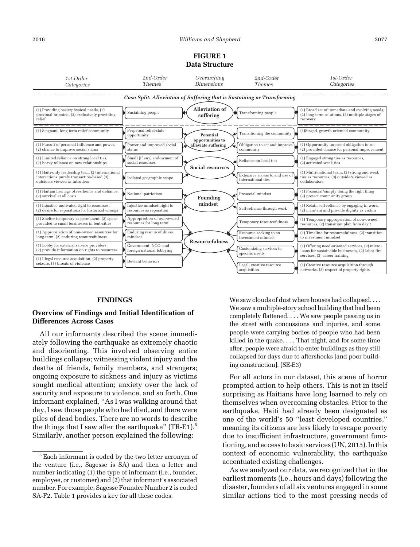# FIGURE 1 Data Structure

<span id="page-8-0"></span>

#### FINDINGS

# Overview of Findings and Initial Identification of Differences Across Cases

All our informants described the scene immediately following the earthquake as extremely chaotic and disorienting. This involved observing entire buildings collapse; witnessing violent injury and the deaths of friends, family members, and strangers; ongoing exposure to sickness and injury as victims sought medical attention; anxiety over the lack of security and exposure to violence, and so forth. One informant explained, "As I was walking around that day, I saw those people who had died, and there were piles of dead bodies. There are no words to describe the things that I saw after the earthquake"  $(TR-E1)$ .<sup>6</sup> Similarly, another person explained the following:

We saw clouds of dust where houses had collapsed. . . . We saw a multiple-story school building that had been completely flattened. . . . We saw people passing us in the street with concussions and injuries, and some people were carrying bodies of people who had been killed in the quake. . . . That night, and for some time after, people were afraid to enter buildings as they still collapsed for days due to aftershocks [and poor building construction]. (SE-E3)

For all actors in our dataset, this scene of horror prompted action to help others. This is not in itself surprising as Haitians have long learned to rely on themselves when overcoming obstacles. Prior to the earthquake, Haiti had already been designated as one of the world's 50 "least developed countries," meaning its citizens are less likely to escape poverty due to insufficient infrastructure, government functioning, and access to basic services ([UN, 2015\)](#page-31-0). In this context of economic vulnerability, the earthquake accentuated existing challenges.

As we analyzed our data, we recognized that in the earliest moments (i.e., hours and days) following the disaster, founders of all six ventures engaged in some similar actions tied to the most pressing needs of

<sup>&</sup>lt;sup>6</sup> Each informant is coded by the two letter acronym of the venture (i.e., Sagesse is SA) and then a letter and number indicating (1) the type of informant (i.e., founder, employee, or customer) and (2) that informant's associated number. For example, Sagesse Founder Number 2 is coded SA-F2. [Table 1](#page-5-0) provides a key for all these codes.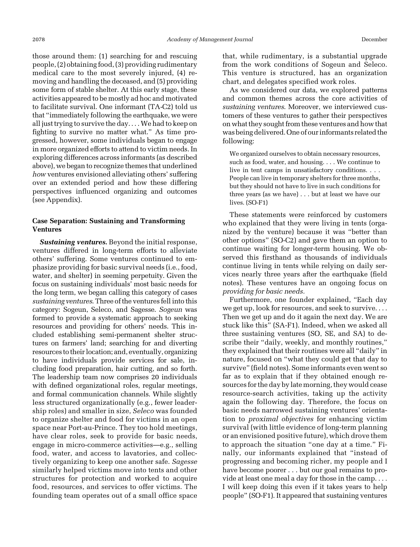those around them: (1) searching for and rescuing people, (2) obtaining food, (3) providing rudimentary medical care to the most severely injured, (4) removing and handling the deceased, and (5) providing some form of stable shelter. At this early stage, these activities appeared to be mostly ad hoc and motivated to facilitate survival. One informant (TA-C2) told us that "immediately following the earthquake, we were all just trying to survive the day. . . . We had to keep on fighting to survive no matter what." As time progressed, however, some individuals began to engage in more organized efforts to attend to victim needs. In exploring differences across informants (as described above), we began to recognize themes that underlined how ventures envisioned alleviating others' suffering over an extended period and how these differing perspectives influenced organizing and outcomes (see Appendix).

# Case Separation: Sustaining and Transforming Ventures

**Sustaining ventures.** Beyond the initial response, ventures differed in long-term efforts to alleviate others' suffering. Some ventures continued to emphasize providing for basic survival needs (i.e., food, water, and shelter) in seeming perpetuity. Given the focus on sustaining individuals' most basic needs for the long term, we began calling this category of cases sustaining ventures. Three of the ventures fell into this category: Sogeun, Seleco, and Sagesse. Sogeun was formed to provide a systematic approach to seeking resources and providing for others' needs. This included establishing semi-permanent shelter structures on farmers' land; searching for and diverting resources to their location; and, eventually, organizing to have individuals provide services for sale, including food preparation, hair cutting, and so forth. The leadership team now comprises 20 individuals with defined organizational roles, regular meetings, and formal communication channels. While slightly less structured organizationally (e.g., fewer leadership roles) and smaller in size, Seleco was founded to organize shelter and food for victims in an open space near Port-au-Prince. They too hold meetings, have clear roles, seek to provide for basic needs, engage in micro-commerce activities—e.g., selling food, water, and access to lavatories, and collectively organizing to keep one another safe. Sagesse similarly helped victims move into tents and other structures for protection and worked to acquire food, resources, and services to offer victims. The founding team operates out of a small office space

that, while rudimentary, is a substantial upgrade from the work conditions of Sogeun and Seleco. This venture is structured, has an organization chart, and delegates specified work roles.

As we considered our data, we explored patterns and common themes across the core activities of sustaining ventures. Moreover, we interviewed customers of these ventures to gather their perspectives on what they sought from these ventures and how that was being delivered. One of our informants related the following:

We organized ourselves to obtain necessary resources, such as food, water, and housing. . . . We continue to live in tent camps in unsatisfactory conditions. . . . People can live in temporary shelters for three months, but they should not have to live in such conditions for three years (as we have) . . . but at least we have our lives. (SO-F1)

These statements were reinforced by customers who explained that they were living in tents (organized by the venture) because it was "better than other options" (SO-C2) and gave them an option to continue waiting for longer-term housing. We observed this firsthand as thousands of individuals continue living in tents while relying on daily services nearly three years after the earthquake (field notes). These ventures have an ongoing focus on providing for basic needs.

Furthermore, one founder explained, "Each day we get up, look for resources, and seek to survive. . . . Then we get up and do it again the next day. We are stuck like this" (SA-F1). Indeed, when we asked all three sustaining ventures (SO, SE, and SA) to describe their "daily, weekly, and monthly routines," they explained that their routines were all "daily" in nature, focused on "what they could get that day to survive" (field notes). Some informants even went so far as to explain that if they obtained enough resources for the day by late morning, they would cease resource-search activities, taking up the activity again the following day. Therefore, the focus on basic needs narrowed sustaining ventures' orientation to proximal objectives for enhancing victim survival (with little evidence of long-term planning or an envisioned positive future), which drove them to approach the situation "one day at a time." Finally, our informants explained that "instead of progressing and becoming richer, my people and I have become poorer . . . but our goal remains to provide at least one meal a day for those in the camp. . . . I will keep doing this even if it takes years to help people" (SO-F1). It appeared that sustaining ventures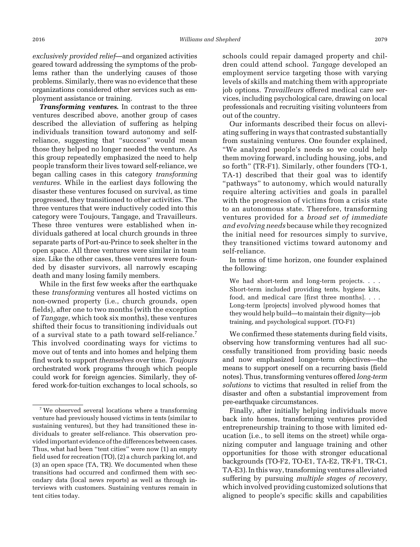exclusively provided relief—and organized activities geared toward addressing the symptoms of the problems rather than the underlying causes of those problems. Similarly, there was no evidence that these organizations considered other services such as employment assistance or training.

Transforming ventures. In contrast to the three ventures described above, another group of cases described the alleviation of suffering as helping individuals transition toward autonomy and selfreliance, suggesting that "success" would mean those they helped no longer needed the venture. As this group repeatedly emphasized the need to help people transform their lives toward self-reliance, we began calling cases in this category transforming ventures. While in the earliest days following the disaster these ventures focused on survival, as time progressed, they transitioned to other activities. The three ventures that were inductively coded into this category were Toujours, Tangage, and Travailleurs. These three ventures were established when individuals gathered at local church grounds in three separate parts of Port-au-Prince to seek shelter in the open space. All three ventures were similar in team size. Like the other cases, these ventures were founded by disaster survivors, all narrowly escaping death and many losing family members.

While in the first few weeks after the earthquake these transforming ventures all hosted victims on non-owned property (i.e., church grounds, open fields), after one to two months (with the exception of Tangage, which took six months), these ventures shifted their focus to transitioning individuals out of a survival state to a path toward self-reliance.<sup>7</sup> This involved coordinating ways for victims to move out of tents and into homes and helping them find work to support themselves over time. Toujours orchestrated work programs through which people could work for foreign agencies. Similarly, they offered work-for-tuition exchanges to local schools, so

schools could repair damaged property and children could attend school. Tangage developed an employment service targeting those with varying levels of skills and matching them with appropriate job options. Travailleurs offered medical care services, including psychological care, drawing on local professionals and recruiting visiting volunteers from out of the country.

Our informants described their focus on alleviating suffering in ways that contrasted substantially from sustaining ventures. One founder explained, "We analyzed people's needs so we could help them moving forward, including housing, jobs, and so forth" (TR-F1). Similarly, other founders (TO-1, TA-1) described that their goal was to identify "pathways" to autonomy, which would naturally require altering activities and goals in parallel with the progression of victims from a crisis state to an autonomous state. Therefore, transforming ventures provided for a broad set of immediate and evolving needs because while they recognized the initial need for resources simply to survive, they transitioned victims toward autonomy and self-reliance.

In terms of time horizon, one founder explained the following:

We had short-term and long-term projects. . . . Short-term included providing tents, hygiene kits, food, and medical care [first three months]. . . . Long-term [projects] involved plywood homes that they would help build—to maintain their dignity—job training, and psychological support. (TO-F1)

We confirmed these statements during field visits, observing how transforming ventures had all successfully transitioned from providing basic needs and now emphasized longer-term objectives—the means to support oneself on a recurring basis (field notes). Thus, transforming ventures offered long-term solutions to victims that resulted in relief from the disaster and often a substantial improvement from pre-earthquake circumstances.

Finally, after initially helping individuals move back into homes, transforming ventures provided entrepreneurship training to those with limited education (i.e., to sell items on the street) while organizing computer and language training and other opportunities for those with stronger educational backgrounds (TO-F2, TO-E1, TA-E2, TR-F1, TR-C1, TA-E3). In this way, transforming ventures alleviated suffering by pursuing multiple stages of recovery, which involved providing customized solutions that aligned to people's specific skills and capabilities

<sup>7</sup> We observed several locations where a transforming venture had previously housed victims in tents (similar to sustaining ventures), but they had transitioned these individuals to greater self-reliance. This observation provided important evidence of the differences between cases. Thus, what had been "tent cities" were now (1) an empty field used for recreation (TO), (2) a church parking lot, and (3) an open space (TA, TR). We documented when these transitions had occurred and confirmed them with secondary data (local news reports) as well as through interviews with customers. Sustaining ventures remain in tent cities today.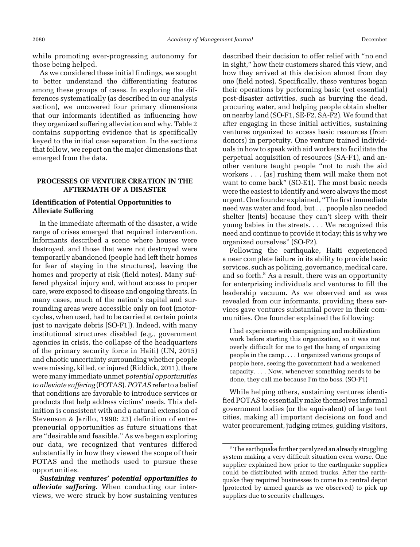while promoting ever-progressing autonomy for those being helped.

As we considered these initial findings, we sought to better understand the differentiating features among these groups of cases. In exploring the differences systematically (as described in our analysis section), we uncovered four primary dimensions that our informants identified as influencing how they organized suffering alleviation and why. [Table 2](#page-13-0) contains supporting evidence that is specifically keyed to the initial case separation. In the sections that follow, we report on the major dimensions that emerged from the data.

# PROCESSES OF VENTURE CREATION IN THE AFTERMATH OF A DISASTER

# Identification of Potential Opportunities to Alleviate Suffering

In the immediate aftermath of the disaster, a wide range of crises emerged that required intervention. Informants described a scene where houses were destroyed, and those that were not destroyed were temporarily abandoned (people had left their homes for fear of staying in the structures), leaving the homes and property at risk (field notes). Many suffered physical injury and, without access to proper care, were exposed to disease and ongoing threats. In many cases, much of the nation's capital and surrounding areas were accessible only on foot (motorcycles, when used, had to be carried at certain points just to navigate debris [SO-F1]). Indeed, with many institutional structures disabled (e.g., government agencies in crisis, the collapse of the headquarters of the primary security force in Haiti) [\(UN, 2015\)](#page-31-0) and chaotic uncertainty surrounding whether people were missing, killed, or injured [\(Riddick, 2011\)](#page-31-0), there were many immediate unmet potential opportunities to alleviate suffering (POTAS). POTAS refer to a belief that conditions are favorable to introduce services or products that help address victims' needs. This definition is consistent with and a natural extension of [Stevenson & Jarillo, 1990](#page-31-0): 23) definition of entrepreneurial opportunities as future situations that are "desirable and feasible." As we began exploring our data, we recognized that ventures differed substantially in how they viewed the scope of their POTAS and the methods used to pursue these opportunities.

Sustaining ventures' potential opportunities to alleviate suffering. When conducting our interviews, we were struck by how sustaining ventures described their decision to offer relief with "no end in sight," how their customers shared this view, and how they arrived at this decision almost from day one (field notes). Specifically, these ventures began their operations by performing basic (yet essential) post-disaster activities, such as burying the dead, procuring water, and helping people obtain shelter on nearby land (SO-F1, SE-F2, SA-F2). We found that after engaging in these initial activities, sustaining ventures organized to access basic resources (from donors) in perpetuity. One venture trained individuals in how to speak with aid workers to facilitate the perpetual acquisition of resources (SA-F1), and another venture taught people "not to rush the aid workers . . . [as] rushing them will make them not want to come back" (SO-E1). The most basic needs were the easiest to identify and were always the most urgent. One founder explained, "The first immediate need was water and food, but . . . people also needed shelter [tents] because they can't sleep with their young babies in the streets. . . . We recognized this need and continue to provide it today; this is why we organized ourselves" (SO-F2).

Following the earthquake, Haiti experienced a near complete failure in its ability to provide basic services, such as policing, governance, medical care, and so forth. $8$  As a result, there was an opportunity for enterprising individuals and ventures to fill the leadership vacuum. As we observed and as was revealed from our informants, providing these services gave ventures substantial power in their communities. One founder explained the following:

I had experience with campaigning and mobilization work before starting this organization, so it was not overly difficult for me to get the hang of organizing people in the camp. . . . I organized various groups of people here, seeing the government had a weakened capacity. . . . Now, whenever something needs to be done, they call me because I'm the boss. (SO-F1)

While helping others, sustaining ventures identified POTAS to essentially make themselves informal government bodies (or the equivalent) of large tent cities, making all important decisions on food and water procurement, judging crimes, guiding visitors,

<sup>&</sup>lt;sup>8</sup> The earthquake further paralyzed an already struggling system making a very difficult situation even worse. One supplier explained how prior to the earthquake supplies could be distributed with armed trucks. After the earthquake they required businesses to come to a central depot (protected by armed guards as we observed) to pick up supplies due to security challenges.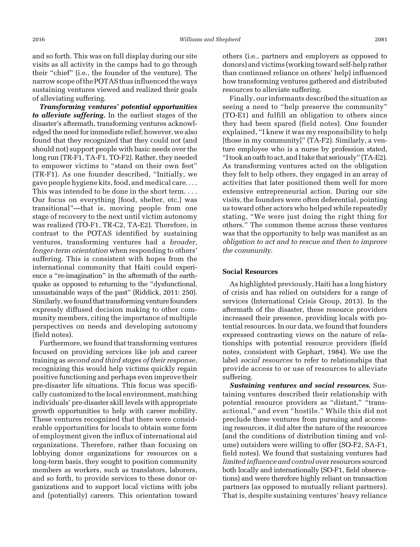and so forth. This was on full display during our site visits as all activity in the camps had to go through their "chief" (i.e., the founder of the venture). The narrow scope of the POTAS thus influenced the ways sustaining ventures viewed and realized their goals of alleviating suffering.

Transforming ventures' potential opportunities to alleviate suffering. In the earliest stages of the disaster's aftermath, transforming ventures acknowledged the need for immediate relief; however, we also found that they recognized that they could not (and should not) support people with basic needs over the long run (TR-F1, TA-F1, TO-F2). Rather, they needed to empower victims to "stand on their own feet" (TR-F1). As one founder described, "Initially, we gave people hygiene kits, food, and medical care. . . . This was intended to be done in the short term. . . . Our focus on everything [food, shelter, etc.] was transitional"—that is, moving people from one stage of recovery to the next until victim autonomy was realized (TO-F1, TR-C2, TA-E2). Therefore, in contrast to the POTAS identified by sustaining ventures, transforming ventures had a broader, longer-term orientation when responding to others' suffering. This is consistent with hopes from the international community that Haiti could experience a "re-imagination" in the aftermath of the earthquake as opposed to returning to the "dysfunctional, unsustainable ways of the past" [\(Riddick, 2011:](#page-31-0) 250). Similarly, we found that transforming venture founders expressly diffused decision making to other community members, citing the importance of multiple perspectives on needs and developing autonomy (field notes).

Furthermore, we found that transforming ventures focused on providing services like job and career training as second and third stages of their response, recognizing this would help victims quickly regain positive functioning and perhaps even improve their pre-disaster life situations. This focus was specifically customized to the local environment, matching individuals' pre-disaster skill levels with appropriate growth opportunities to help with career mobility. These ventures recognized that there were considerable opportunities for locals to obtain some form of employment given the influx of international aid organizations. Therefore, rather than focusing on lobbying donor organizations for resources on a long-term basis, they sought to position community members as workers, such as translators, laborers, and so forth, to provide services to these donor organizations and to support local victims with jobs and (potentially) careers. This orientation toward

others (i.e., partners and employers as opposed to donors) and victims (working toward self-help rather than continued reliance on others' help) influenced how transforming ventures gathered and distributed resources to alleviate suffering.

Finally, our informants described the situation as seeing a need to "help preserve the community" (TO-E1) and fulfill an obligation to others since they had been spared (field notes). One founder explained, "I knew it was my responsibility to help [those in my community]" (TA-F2). Similarly, a venture employee who is a nurse by profession stated, "I took an oath to act, and I take that seriously" (TA-E2). As transforming ventures acted on the obligation they felt to help others, they engaged in an array of activities that later positioned them well for more extensive entrepreneurial action. During our site visits, the founders were often deferential, pointing us toward other actors who helped while repeatedly stating, "We were just doing the right thing for others." The common theme across these ventures was that the opportunity to help was manifest as an obligation to act and to rescue and then to improve the community.

### Social Resources

As highlighted previously, Haiti has a long history of crisis and has relied on outsiders for a range of services ([International Crisis Group, 2013\)](#page-30-0). In the aftermath of the disaster, these resource providers increased their presence, providing locals with potential resources. In our data, we found that founders expressed contrasting views on the nature of relationships with potential resource providers (field notes, consistent with [Gephart, 1984](#page-29-0)). We use the label social resources to refer to relationships that provide access to or use of resources to alleviate suffering.

Sustaining ventures and social resources. Sustaining ventures described their relationship with potential resource providers as "distant," "transactional," and even "hostile." While this did not preclude these ventures from pursuing and accessing resources, it did alter the nature of the resources (and the conditions of distribution timing and volume) outsiders were willing to offer (SO-F2, SA-F1, field notes). We found that sustaining ventures had limited influence and control over resources sourced both locally and internationally (SO-F1, field observations) and were therefore highly reliant on transaction partners (as opposed to mutually reliant partners). That is, despite sustaining ventures' heavy reliance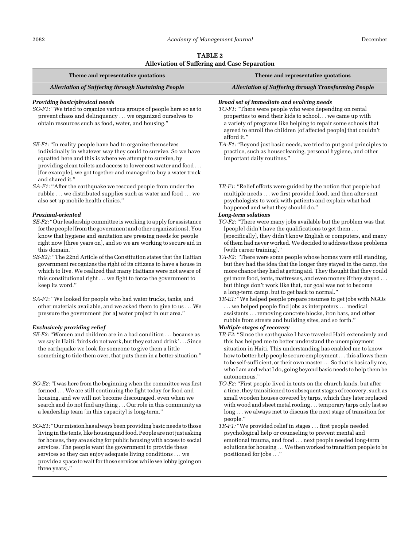| TABLE 2                                             |  |
|-----------------------------------------------------|--|
| <b>Alleviation of Suffering and Case Separation</b> |  |

<span id="page-13-0"></span>

| Theme and representative quotations                                                                                                                                                                                                                                                                                                                                                                                                     | Theme and representative quotations                                                                                                                                                                                                                                                                                                                                                                                        |
|-----------------------------------------------------------------------------------------------------------------------------------------------------------------------------------------------------------------------------------------------------------------------------------------------------------------------------------------------------------------------------------------------------------------------------------------|----------------------------------------------------------------------------------------------------------------------------------------------------------------------------------------------------------------------------------------------------------------------------------------------------------------------------------------------------------------------------------------------------------------------------|
| <b>Alleviation of Suffering through Sustaining People</b>                                                                                                                                                                                                                                                                                                                                                                               | <b>Alleviation of Suffering through Transforming People</b>                                                                                                                                                                                                                                                                                                                                                                |
| <b>Providing basic/physical needs</b><br>SO-F1: "We tried to organize various groups of people here so as to<br>prevent chaos and delinquency  we organized ourselves to<br>obtain resources such as food, water, and housing."                                                                                                                                                                                                         | <b>Broad set of immediate and evolving needs</b><br>TO-F1: "There were people who were depending on rental<br>properties to send their kids to school we came up with<br>a variety of programs like helping to repair some schools that<br>agreed to enroll the children [of affected people] that couldn't<br>afford it."                                                                                                 |
| SE-F1: "In reality people have had to organize themselves<br>individually in whatever way they could to survive. So we have<br>squatted here and this is where we attempt to survive, by<br>providing clean toilets and access to lower cost water and food<br>[for example], we got together and managed to buy a water truck<br>and shared it."                                                                                       | TA-F1: "Beyond just basic needs, we tried to put good principles to<br>practice, such as housecleaning, personal hygiene, and other<br>important daily routines."                                                                                                                                                                                                                                                          |
| SA-F1: "After the earthquake we rescued people from under the<br>rubble  we distributed supplies such as water and food  we<br>also set up mobile health clinics."                                                                                                                                                                                                                                                                      | TR-F1: "Relief efforts were guided by the notion that people had<br>multiple needs  we first provided food, and then after sent<br>psychologists to work with patients and explain what had<br>happened and what they should do."                                                                                                                                                                                          |
| <b>Proximal-oriented</b>                                                                                                                                                                                                                                                                                                                                                                                                                | <b>Long-term solutions</b>                                                                                                                                                                                                                                                                                                                                                                                                 |
| SE-F2: "Our leadership committee is working to apply for assistance<br>for the people [from the government and other organizations]. You<br>know that hygiene and sanitation are pressing needs for people<br>right now [three years on], and so we are working to secure aid in<br>this domain."                                                                                                                                       | TO-F2: "There were many jobs available but the problem was that<br>[people] didn't have the qualifications to get them<br>[specifically], they didn't know English or computers, and many<br>of them had never worked. We decided to address those problems<br>[with career training]."                                                                                                                                    |
| SE-E2): "The 22nd Article of the Constitution states that the Haitian<br>government recognizes the right of its citizens to have a house in<br>which to live. We realized that many Haitians were not aware of<br>this constitutional right  we fight to force the government to<br>keep its word."                                                                                                                                     | TA-F2: "There were some people whose homes were still standing,<br>but they had the idea that the longer they stayed in the camp, the<br>more chance they had at getting aid. They thought that they could<br>get more food, tents, mattresses, and even money if they stayed<br>but things don't work like that, our goal was not to become<br>a long-term camp, but to get back to normal."                              |
| SA-F1: "We looked for people who had water trucks, tanks, and<br>other materials available, and we asked them to give to us  We<br>pressure the government [for a] water project in our area."                                                                                                                                                                                                                                          | TR-E1: "We helped people prepare resumes to get jobs with NGOs<br>we helped people find jobs as interpreters  medical<br>assistants  removing concrete blocks, iron bars, and other<br>rubble from streets and building sites, and so forth."                                                                                                                                                                              |
| <b>Exclusively providing relief</b>                                                                                                                                                                                                                                                                                                                                                                                                     | Multiple stages of recovery                                                                                                                                                                                                                                                                                                                                                                                                |
| SE-F2: "Women and children are in a bad condition  because as<br>we say in Haiti: 'birds do not work, but they eat and drink' Since<br>the earthquake we look for someone to give them a little<br>something to tide them over, that puts them in a better situation."                                                                                                                                                                  | TR-F2: "Since the earthquake I have traveled Haiti extensively and<br>this has helped me to better understand the unemployment<br>situation in Haiti. This understanding has enabled me to know<br>how to better help people secure employment this allows them<br>to be self-sufficient, or their own master So that is basically me,<br>who I am and what I do, going beyond basic needs to help them be<br>autonomous." |
| SO-E2: "I was here from the beginning when the committee was first<br>formed  We are still continuing the fight today for food and<br>housing, and we will not become discouraged, even when we<br>search and do not find anything  Our role in this community as<br>a leadership team [in this capacity] is long-term."                                                                                                                | TO-F2: "First people lived in tents on the church lands, but after<br>a time, they transitioned to subsequent stages of recovery, such as<br>small wooden houses covered by tarps, which they later replaced<br>with wood and sheet metal roofing temporary tarps only last so<br>long  we always met to discuss the next stage of transition for<br>people."                                                              |
| SO-E1: "Our mission has always been providing basic needs to those<br>living in the tents, like housing and food. People are not just asking<br>for houses, they are asking for public housing with access to social<br>services. The people want the government to provide these<br>services so they can enjoy adequate living conditions  we<br>provide a space to wait for those services while we lobby [going on<br>three years]." | TR-F1: "We provided relief in stages  first people needed<br>psychological help or counseling to prevent mental and<br>emotional trauma, and food  next people needed long-term<br>solutions for housing We then worked to transition people to be<br>positioned for jobs "                                                                                                                                                |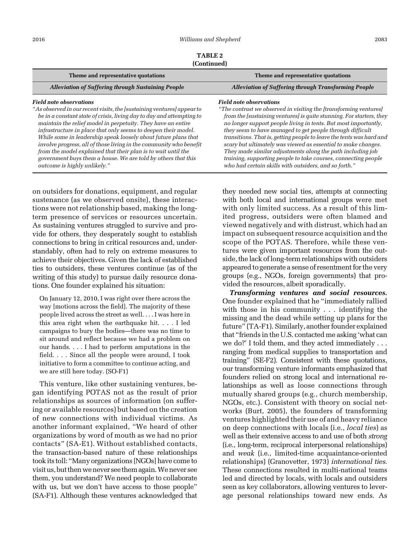| <b>TABLE 2</b> |
|----------------|
| (Continued)    |

| Theme and representative quotations                                                                                                             | Theme and representative quotations                                                                                                       |
|-------------------------------------------------------------------------------------------------------------------------------------------------|-------------------------------------------------------------------------------------------------------------------------------------------|
| <b>Alleviation of Suffering through Sustaining People</b>                                                                                       | <b>Alleviation of Suffering through Transforming People</b>                                                                               |
| <b>Field note observations</b>                                                                                                                  | <b>Field note observations</b>                                                                                                            |
| "As observed in our recent visits, the [sustaining ventures] appear to<br>be in a constant state of crisis, living day to day and attempting to | "The contrast we observed in visiting the [transforming ventures]<br>from the [sustaining ventures] is quite stunning. For starters, they |
| maintain the relief model in perpetuity. They have an entire                                                                                    | no longer support people living in tents. But most importantly,                                                                           |
| infrastructure in place that only seems to deepen their model.                                                                                  | they seem to have managed to get people through difficult                                                                                 |
| While some in leadership speak loosely about future plans that                                                                                  | transitions. That is, getting people to leave the tents was hard and                                                                      |
| involve progress, all of those living in the community who benefit                                                                              | scary but ultimately was viewed as essential to make changes.                                                                             |
| from the model explained that their plan is to wait until the                                                                                   | They made similar adjustments along the path including job                                                                                |
| government buys them a house. We are told by others that this                                                                                   | training, supporting people to take courses, connecting people                                                                            |
| outcome is highly unlikely."                                                                                                                    | who had certain skills with outsiders, and so forth."                                                                                     |

on outsiders for donations, equipment, and regular sustenance (as we observed onsite), these interactions were not relationship based, making the longterm presence of services or resources uncertain. As sustaining ventures struggled to survive and provide for others, they desperately sought to establish connections to bring in critical resources and, understandably, often had to rely on extreme measures to achieve their objectives. Given the lack of established ties to outsiders, these ventures continue (as of the writing of this study) to pursue daily resource donations. One founder explained his situation:

On January 12, 2010, I was right over there across the way [motions across the field]. The majority of these people lived across the street as well. . . . I was here in this area right when the earthquake hit. . . . I led campaigns to bury the bodies—there was no time to sit around and reflect because we had a problem on our hands. . . . I had to perform amputations in the field. . . . Since all the people were around, I took initiative to form a committee to continue acting, and we are still here today. (SO-F1)

This venture, like other sustaining ventures, began identifying POTAS not as the result of prior relationships as sources of information (on suffering or available resources) but based on the creation of new connections with individual victims. As another informant explained, "We heard of other organizations by word of mouth as we had no prior contacts" (SA-E1). Without established contacts, the transaction-based nature of these relationships took its toll: "Many organizations [NGOs] have come to visit us, but thenwe never see them again.We never see them, you understand? We need people to collaborate with us, but we don't have access to those people" (SA-F1). Although these ventures acknowledged that they needed new social ties, attempts at connecting with both local and international groups were met with only limited success. As a result of this limited progress, outsiders were often blamed and viewed negatively and with distrust, which had an impact on subsequent resource acquisition and the scope of the POTAS. Therefore, while these ventures were given important resources from the outside, the lack of long-term relationships with outsiders appeared to generate a sense of resentment for the very groups (e.g., NGOs, foreign governments) that provided the resources, albeit sporadically.

Transforming ventures and social resources. One founder explained that he "immediately rallied with those in his community . . . identifying the missing and the dead while setting up plans for the future" (TA-F1). Similarly, another founder explained that "friends in the U.S. contacted me asking 'what can we do?' I told them, and they acted immediately . . . ranging from medical supplies to transportation and training" (SE-F2). Consistent with these quotations, our transforming venture informants emphasized that founders relied on strong local and international relationships as well as loose connections through mutually shared groups (e.g., church membership, NGOs, etc.). Consistent with theory on social networks ([Burt, 2005\)](#page-29-0), the founders of transforming ventures highlighted their use of and heavy reliance on deep connections with locals (i.e., local ties) as well as their extensive access to and use of both *strong* (i.e., long-term, reciprocal interpersonal relationships) and weak (i.e., limited-time acquaintance-oriented relationships) [\(Granovetter, 1973](#page-30-0)) international ties. These connections resulted in multi-national teams led and directed by locals, with locals and outsiders seen as key collaborators, allowing ventures to leverage personal relationships toward new ends. As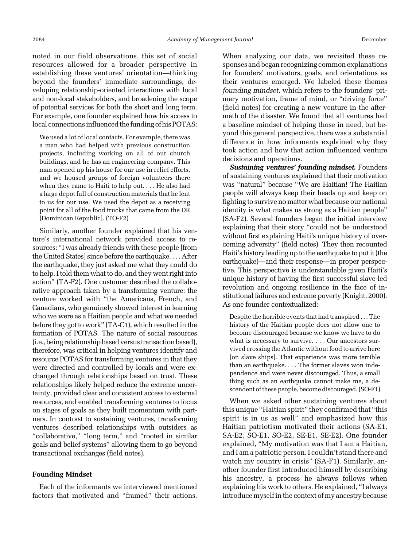noted in our field observations, this set of social resources allowed for a broader perspective in establishing these ventures' orientation—thinking beyond the founders' immediate surroundings, developing relationship-oriented interactions with local and non-local stakeholders, and broadening the scope of potential services for both the short and long term. For example, one founder explained how his access to local connections influenced the funding of his POTAS:

We used a lot of local contacts. For example, there was a man who had helped with previous construction projects, including working on all of our church buildings, and he has an engineering company. This man opened up his house for our use in relief efforts, and we housed groups of foreign volunteers there when they came to Haiti to help out. . . . He also had a large depot full of construction materials that he lent to us for our use. We used the depot as a receiving point for all of the food trucks that came from the DR [Dominican Republic]. (TO-F2)

Similarly, another founder explained that his venture's international network provided access to resources: "I was already friends with these people [from the United States] since before the earthquake. . . . After the earthquake, they just asked me what they could do to help. I told them what to do, and they went right into action" (TA-F2). One customer described the collaborative approach taken by a transforming venture: the venture worked with "the Americans, French, and Canadians, who genuinely showed interest in learning who we were as a Haitian people and what we needed before they got to work" (TA-C1), which resulted in the formation of POTAS. The nature of social resources (i.e., being relationship based versus transaction based), therefore, was critical in helping ventures identify and resource POTAS for transforming ventures in that they were directed and controlled by locals and were exchanged through relationships based on trust. These relationships likely helped reduce the extreme uncertainty, provided clear and consistent access to external resources, and enabled transforming ventures to focus on stages of goals as they built momentum with partners. In contrast to sustaining ventures, transforming ventures described relationships with outsiders as "collaborative," "long term," and "rooted in similar goals and belief systems" allowing them to go beyond transactional exchanges (field notes).

#### Founding Mindset

Each of the informants we interviewed mentioned factors that motivated and "framed" their actions.

When analyzing our data, we revisited these responses and began recognizing common explanations for founders' motivators, goals, and orientations as their ventures emerged. We labeled these themes founding mindset, which refers to the founders' primary motivation, frame of mind, or "driving force" (field notes) for creating a new venture in the aftermath of the disaster. We found that all ventures had a baseline mindset of helping those in need, but beyond this general perspective, there was a substantial difference in how informants explained why they took action and how that action influenced venture decisions and operations.

Sustaining ventures' founding mindset. Founders of sustaining ventures explained that their motivation was "natural" because "We are Haitian! The Haitian people will always keep their heads up and keep on fighting to survive no matter what because our national identity is what makes us strong as a Haitian people" (SA-F2). Several founders began the initial interview explaining that their story "could not be understood without first explaining Haiti's unique history of overcoming adversity" (field notes). They then recounted Haiti's history leading up to the earthquake to put it (the earthquake)—and their response—in proper perspective. This perspective is understandable given Haiti's unique history of having the first successful slave-led revolution and ongoing resilience in the face of institutional failures and extreme poverty ([Knight, 2000](#page-30-0)). As one founder contextualized:

Despite the horrible events that had transpired . . . The history of the Haitian people does not allow one to become discouraged because we know we have to do what is necessary to survive. . . . Our ancestors survived crossing the Atlantic without food to arrive here [on slave ships]. That experience was more terrible than an earthquake. . . . The former slaves won independence and were never discouraged. Thus, a small thing such as an earthquake cannot make me, a descendent of these people, become discouraged. (SO-F1)

When we asked other sustaining ventures about this unique "Haitian spirit" they confirmed that "this spirit is in us as well" and emphasized how this Haitian patriotism motivated their actions (SA-E1, SA-E2, SO-E1, SO-E2, SE-E1, SE-E2). One founder explained, "My motivation was that I am a Haitian, and I am a patriotic person. I couldn't stand there and watch my country in crisis" (SA-F1). Similarly, another founder first introduced himself by describing his ancestry, a process he always follows when explaining his work to others. He explained, "I always introduce myself in the context of my ancestry because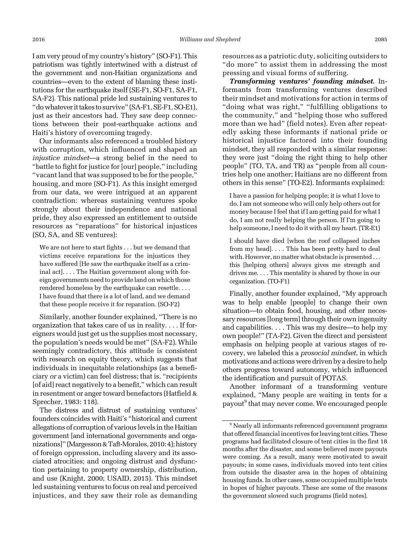I am very proud of my country's history" (SO-F1). This patriotism was tightly intertwined with a distrust of the government and non-Haitian organizations and countries—even to the extent of blaming these institutions for the earthquake itself (SE-F1, SO-F1, SA-F1, SA-F2). This national pride led sustaining ventures to "dowhatever it takes to survive" (SA-F1, SE-F1, SO-E1), just as their ancestors had. They saw deep connections between their post-earthquake actions and Haiti's history of overcoming tragedy.

Our informants also referenced a troubled history with corruption, which influenced and shaped an injustice mindset—a strong belief in the need to "battle to fight for justice for [our] people," including "vacant land that was supposed to be for the people," housing, and more (SO-F1). As this insight emerged from our data, we were intrigued at an apparent contradiction: whereas sustaining ventures spoke strongly about their independence and national pride, they also expressed an entitlement to outside resources as "reparations" for historical injustices (SO, SA, and SE ventures):

We are not here to start fights . . . but we demand that victims receive reparations for the injustices they have suffered [He saw the earthquake itself as a criminal act]. . . . The Haitian government along with foreign governments need to provide land on which those rendered homeless by the earthquake can resettle. . . . I have found that there is a lot of land, and we demand that these people receive it for reparation. (SO-F2)

Similarly, another founder explained, "There is no organization that takes care of us in reality. . . . If foreigners would just get us the supplies most necessary, the population's needs would be met" (SA-F2). While seemingly contradictory, this attitude is consistent with research on equity theory, which suggests that individuals in inequitable relationships (as a beneficiary or a victim) can feel distress; that is, "recipients [of aid] react negatively to a benefit," which can result in resentment or anger toward benefactors ([Hatfield &](#page-30-0) [Sprecher, 1983:](#page-30-0) 118).

The distress and distrust of sustaining ventures' founders coincides with Haiti's "historical and current allegations of corruption of various levels in the Haitian government [and international governments and organizations]" [\(Margesson&Taft-Morales, 2010:](#page-30-0) 4); history of foreign oppression, including slavery and its associated atrocities; and ongoing distrust and dysfunction pertaining to property ownership, distribution, and use ([Knight, 2000](#page-30-0); [USAID, 2015\)](#page-31-0). This mindset led sustaining ventures to focus on real and perceived injustices, and they saw their role as demanding resources as a patriotic duty, soliciting outsiders to "do more" to assist them in addressing the most pressing and visual forms of suffering.

Transforming ventures' founding mindset. Informants from transforming ventures described their mindset and motivations for action in terms of "doing what was right," "fulfilling obligations to the community," and "helping those who suffered more than we had" (field notes). Even after repeatedly asking these informants if national pride or historical injustice factored into their founding mindset, they all responded with a similar response: they were just "doing the right thing to help other people" (TO, TA, and TR) as "people from all countries help one another; Haitians are no different from others in this sense" (TO-E2). Informants explained:

I have a passion for helping people; it is what I love to do. I am not someone who will only help others out for money because I feel that if I am getting paid for what I do, I am not really helping the person. If I'm going to help someone, I need to do it with all my heart. (TR-E1)

I should have died [when the roof collapsed inches from my head]. . . . This has been pretty hard to deal with. However, no matter what obstacle is presented . . . this [helping others] always gives me strength and drives me. . . . This mentality is shared by those in our organization. (TO-F1)

Finally, another founder explained, "My approach was to help enable [people] to change their own situation—to obtain food, housing, and other necessary resources [long term] through their own ingenuity and capabilities. . . . This was my desire—to help my own people!" (TA-F2). Given the direct and persistent emphasis on helping people at various stages of recovery, we labeled this a prosocial mindset, in which motivations and actions were driven by a desire to help others progress toward autonomy, which influenced the identification and pursuit of POTAS.

Another informant of a transforming venture explained, "Many people are waiting in tents for a payout<sup>9</sup> that may never come. We encouraged people

<sup>&</sup>lt;sup>9</sup> Nearly all informants referenced government programs that offered financial incentives for leaving tent cities. These programs had facilitated closure of tent cities in the first 18 months after the disaster, and some believed more payouts were coming. As a result, many were motivated to await payouts; in some cases, individuals moved into tent cities from outside the disaster area in the hopes of obtaining housing funds. In other cases, some occupied multiple tents in hopes of higher payouts. These are some of the reasons the government slowed such programs (field notes).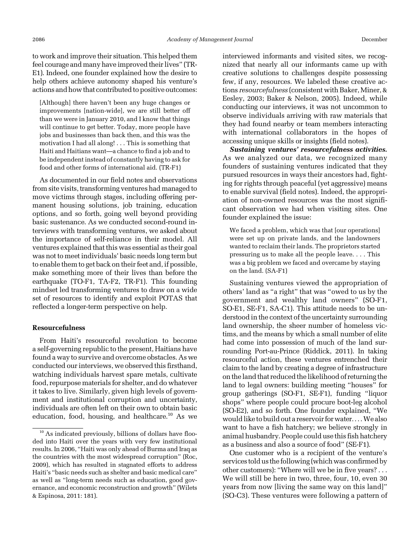to work and improve their situation. This helped them feel courage and many have improved their lives" (TR-E1). Indeed, one founder explained how the desire to help others achieve autonomy shaped his venture's actions and how that contributed to positive outcomes:

[Although] there haven't been any huge changes or improvements [nation-wide], we are still better off than we were in January 2010, and I know that things will continue to get better. Today, more people have jobs and businesses than back then, and this was the motivation I had all along! . . . This is something that Haiti and Haitians want—a chance to find a job and to be independent instead of constantly having to ask for food and other forms of international aid. (TR-F1)

As documented in our field notes and observations from site visits, transforming ventures had managed to move victims through stages, including offering permanent housing solutions, job training, education options, and so forth, going well beyond providing basic sustenance. As we conducted second-round interviews with transforming ventures, we asked about the importance of self-reliance in their model. All ventures explained that this was essential as their goal was not to meet individuals' basic needs long term but to enable them to get back on their feet and, if possible, make something more of their lives than before the earthquake (TO-F1, TA-F2, TR-F1). This founding mindset led transforming ventures to draw on a wide set of resources to identify and exploit POTAS that reflected a longer-term perspective on help.

#### Resourcefulness

From Haiti's resourceful revolution to become a self-governing republic to the present, Haitians have found a way to survive and overcome obstacles. As we conducted our interviews, we observed this firsthand, watching individuals harvest spare metals, cultivate food, repurpose materials for shelter, and do whatever it takes to live. Similarly, given high levels of government and institutional corruption and uncertainty, individuals are often left on their own to obtain basic education, food, housing, and healthcare.<sup>10</sup> As we

interviewed informants and visited sites, we recognized that nearly all our informants came up with creative solutions to challenges despite possessing few, if any, resources. We labeled these creative actions resourcefulness (consistent with [Baker, Miner, &](#page-29-0) [Eesley, 2003](#page-29-0); [Baker & Nelson, 2005](#page-29-0)). Indeed, while conducting our interviews, it was not uncommon to observe individuals arriving with raw materials that they had found nearby or team members interacting with international collaborators in the hopes of accessing unique skills or insights (field notes).

Sustaining ventures' resourcefulness activities. As we analyzed our data, we recognized many founders of sustaining ventures indicated that they pursued resources in ways their ancestors had, fighting for rights through peaceful (yet aggressive) means to enable survival (field notes). Indeed, the appropriation of non-owned resources was the most significant observation we had when visiting sites. One founder explained the issue:

We faced a problem, which was that [our operations] were set up on private lands, and the landowners wanted to reclaim their lands. The proprietors started pressuring us to make all the people leave. . . . This was a big problem we faced and overcame by staying on the land. (SA-F1)

Sustaining ventures viewed the appropriation of others' land as "a right" that was "owed to us by the government and wealthy land owners" (SO-F1, SO-E1, SE-F1, SA-C1). This attitude needs to be understood in the context of the uncertainty surrounding land ownership, the sheer number of homeless victims, and the means by which a small number of elite had come into possession of much of the land surrounding Port-au-Prince [\(Riddick, 2011\)](#page-31-0). In taking resourceful action, these ventures entrenched their claim to the land by creating a degree of infrastructure on the land that reduced the likelihood of returning the land to legal owners: building meeting "houses" for group gatherings (SO-F1, SE-F1), funding "liquor shops" where people could procure boot-leg alcohol (SO-E2), and so forth. One founder explained, "We would like to build out a reservoir for water. . . .We also want to have a fish hatchery; we believe strongly in animal husbandry. People could use this fish hatchery as a business and also a source of food" (SE-F1).

One customer who is a recipient of the venture's services told us the following (which was confirmed by other customers): "Where will we be in five years? . . . We will still be here in two, three, four, 10, even 30 years from now [living the same way on this land]" (SO-C3). These ventures were following a pattern of

<sup>&</sup>lt;sup>10</sup> As indicated previously, billions of dollars have flooded into Haiti over the years with very few institutional results. In 2006, "Haiti was only ahead of Burma and Iraq as the countries with the most widespread corruption" [\(Roc,](#page-31-0) [2009](#page-31-0)), which has resulted in stagnated efforts to address Haiti's "basic needs such as shelter and basic medical care" as well as "long-term needs such as education, good governance, and economic reconstruction and growth" [\(Wilets](#page-31-0) [& Espinosa, 2011:](#page-31-0) 181).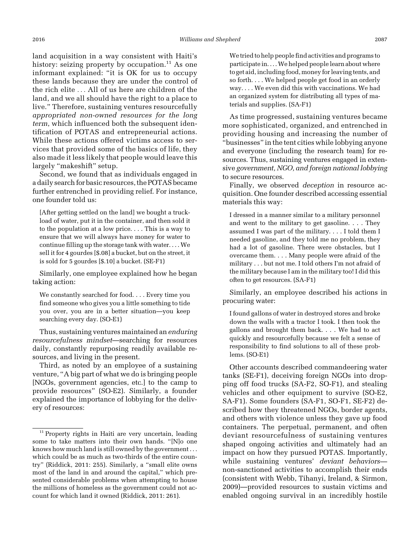land acquisition in a way consistent with Haiti's history: seizing property by occupation.<sup>11</sup> As one informant explained: "it is OK for us to occupy these lands because they are under the control of the rich elite ... All of us here are children of the land, and we all should have the right to a place to live." Therefore, sustaining ventures resourcefully appropriated non-owned resources for the long term, which influenced both the subsequent identification of POTAS and entrepreneurial actions. While these actions offered victims access to services that provided some of the basics of life, they also made it less likely that people would leave this largely "makeshift" setup.

Second, we found that as individuals engaged in a daily search for basic resources, the POTAS became further entrenched in providing relief. For instance, one founder told us:

[After getting settled on the land] we bought a truckload of water, put it in the container, and then sold it to the population at a low price. . . . This is a way to ensure that we will always have money for water to continue filling up the storage tank with water. . . . We sell it for 4 gourdes [\$.08] a bucket, but on the street, it is sold for 5 gourdes [\$.10] a bucket. (SE-F1)

Similarly, one employee explained how he began taking action:

We constantly searched for food. . . . Every time you find someone who gives you a little something to tide you over, you are in a better situation—you keep searching every day. (SO-E1)

Thus, sustaining ventures maintained an enduring resourcefulness mindset—searching for resources daily, constantly repurposing readily available resources, and living in the present.

Third, as noted by an employee of a sustaining venture, "A big part of what we do is bringing people [NGOs, government agencies, etc.] to the camp to provide resources" (SO-E2). Similarly, a founder explained the importance of lobbying for the delivery of resources:

We tried to help people find activities and programs to participate in. . . .We helped people learn about where to get aid, including food, money for leaving tents, and so forth. . . . We helped people get food in an orderly way. . . . We even did this with vaccinations. We had an organized system for distributing all types of materials and supplies. (SA-F1)

As time progressed, sustaining ventures became more sophisticated, organized, and entrenched in providing housing and increasing the number of "businesses" in the tent cities while lobbying anyone and everyone (including the research team) for resources. Thus, sustaining ventures engaged in extensive government, NGO, and foreign national lobbying to secure resources.

Finally, we observed *deception* in resource acquisition. One founder described accessing essential materials this way:

I dressed in a manner similar to a military personnel and went to the military to get gasoline. . . . They assumed I was part of the military. . . . I told them I needed gasoline, and they told me no problem, they had a lot of gasoline. There were obstacles, but I overcame them. . . . Many people were afraid of the military . . . but not me. I told others I'm not afraid of the military because I am in the military too! I did this often to get resources. (SA-F1)

Similarly, an employee described his actions in procuring water:

I found gallons of water in destroyed stores and broke down the walls with a tractor I took. I then took the gallons and brought them back. . . . We had to act quickly and resourcefully because we felt a sense of responsibility to find solutions to all of these problems. (SO-E1)

Other accounts described commandeering water tanks (SE-F1), deceiving foreign NGOs into dropping off food trucks (SA-F2, SO-F1), and stealing vehicles and other equipment to survive (SO-E2, SA-F1). Some founders (SA-F1, SO-F1, SE-F2) described how they threatened NGOs, border agents, and others with violence unless they gave up food containers. The perpetual, permanent, and often deviant resourcefulness of sustaining ventures shaped ongoing activities and ultimately had an impact on how they pursued POTAS. Importantly, while sustaining ventures' deviant behaviorsnon-sanctioned activities to accomplish their ends (consistent with [Webb, Tihanyi, Ireland, & Sirmon,](#page-31-0) [2009\)](#page-31-0)—provided resources to sustain victims and enabled ongoing survival in an incredibly hostile

<sup>&</sup>lt;sup>11</sup> Property rights in Haiti are very uncertain, leading some to take matters into their own hands. "[N]o one knows how much land is still owned by the government . . . which could be as much as two-thirds of the entire country" ([Riddick, 2011:](#page-31-0) 255). Similarly, a "small elite owns most of the land in and around the capital," which presented considerable problems when attempting to house the millions of homeless as the government could not account for which land it owned ([Riddick, 2011](#page-31-0): 261).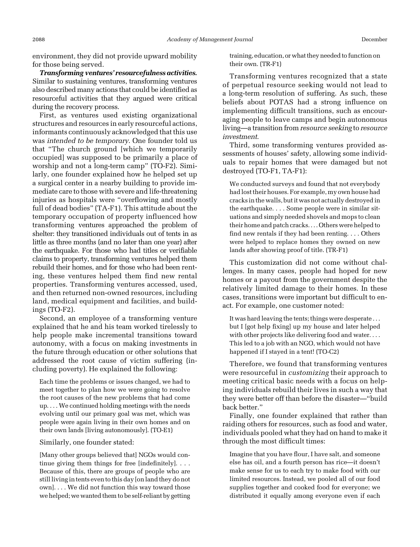environment, they did not provide upward mobility for those being served.

Transforming ventures' resourcefulness activities. Similar to sustaining ventures, transforming ventures also described many actions that could be identified as resourceful activities that they argued were critical during the recovery process.

First, as ventures used existing organizational structures and resources in early resourceful actions, informants continuously acknowledged that this use was intended to be temporary. One founder told us that "The church ground [which we temporarily occupied] was supposed to be primarily a place of worship and not a long-term camp" (TO-F2). Similarly, one founder explained how he helped set up a surgical center in a nearby building to provide immediate care to those with severe and life-threatening injuries as hospitals were "overflowing and mostly full of dead bodies" (TA-F1). This attitude about the temporary occupation of property influenced how transforming ventures approached the problem of shelter: they transitioned individuals out of tents in as little as three months (and no later than one year) after the earthquake. For those who had titles or verifiable claims to property, transforming ventures helped them rebuild their homes, and for those who had been renting, these ventures helped them find new rental properties. Transforming ventures accessed, used, and then returned non-owned resources, including land, medical equipment and facilities, and buildings (TO-F2).

Second, an employee of a transforming venture explained that he and his team worked tirelessly to help people make incremental transitions toward autonomy, with a focus on making investments in the future through education or other solutions that addressed the root cause of victim suffering (including poverty). He explained the following:

Each time the problems or issues changed, we had to meet together to plan how we were going to resolve the root causes of the new problems that had come up. . . . We continued holding meetings with the needs evolving until our primary goal was met, which was people were again living in their own homes and on their own lands [living autonomously]. (TO-E1)

Similarly, one founder stated:

[Many other groups believed that] NGOs would continue giving them things for free [indefinitely]. . . . Because of this, there are groups of people who are still living in tents even to this day [on land they do not own]. . . . We did not function this way toward those we helped; we wanted them to be self-reliant by getting training, education, or what they needed to function on their own. (TR-F1)

Transforming ventures recognized that a state of perpetual resource seeking would not lead to a long-term resolution of suffering. As such, these beliefs about POTAS had a strong influence on implementing difficult transitions, such as encouraging people to leave camps and begin autonomous living—a transition from resource seeking to resource investment.

Third, some transforming ventures provided assessments of houses' safety, allowing some individuals to repair homes that were damaged but not destroyed (TO-F1, TA-F1):

We conducted surveys and found that not everybody had lost their houses. For example, my own house had cracks in the walls, but it was not actually destroyed in the earthquake. . . . Some people were in similar situations and simply needed shovels and mops to clean their home and patch cracks. . . . Others were helped to find new rentals if they had been renting. . . . Others were helped to replace homes they owned on new lands after showing proof of title. (TR-F1)

This customization did not come without challenges. In many cases, people had hoped for new homes or a payout from the government despite the relatively limited damage to their homes. In these cases, transitions were important but difficult to enact. For example, one customer noted:

It was hard leaving the tents; things were desperate . . . but I [got help fixing] up my house and later helped with other projects like delivering food and water. . . . This led to a job with an NGO, which would not have happened if I stayed in a tent! (TO-C2)

Therefore, we found that transforming ventures were resourceful in customizing their approach to meeting critical basic needs with a focus on helping individuals rebuild their lives in such a way that they were better off than before the disaster—"build back better."

Finally, one founder explained that rather than raiding others for resources, such as food and water, individuals pooled what they had on hand to make it through the most difficult times:

Imagine that you have flour, I have salt, and someone else has oil, and a fourth person has rice—it doesn't make sense for us to each try to make food with our limited resources. Instead, we pooled all of our food supplies together and cooked food for everyone; we distributed it equally among everyone even if each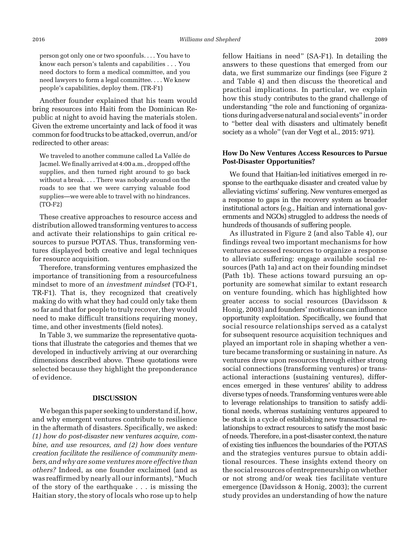person got only one or two spoonfuls. . . . You have to know each person's talents and capabilities . . . You need doctors to form a medical committee, and you need lawyers to form a legal committee. . . . We knew people's capabilities, deploy them. (TR-F1)

Another founder explained that his team would bring resources into Haiti from the Dominican Republic at night to avoid having the materials stolen. Given the extreme uncertainty and lack of food it was common for food trucks to be attacked, overrun, and/or redirected to other areas:

We traveled to another commune called La Vallée de Jacmel.We finally arrived at 4:00 a.m., dropped off the supplies, and then turned right around to go back without a break. . . . There was nobody around on the roads to see that we were carrying valuable food supplies—we were able to travel with no hindrances. (TO-F2)

These creative approaches to resource access and distribution allowed transforming ventures to access and activate their relationships to gain critical resources to pursue POTAS. Thus, transforming ventures displayed both creative and legal techniques for resource acquisition.

Therefore, transforming ventures emphasized the importance of transitioning from a resourcefulness mindset to more of an investment mindset (TO-F1, TR-F1). That is, they recognized that creatively making do with what they had could only take them so far and that for people to truly recover, they would need to make difficult transitions requiring money, time, and other investments (field notes).

In [Table 3,](#page-21-0) we summarize the representative quotations that illustrate the categories and themes that we developed in inductively arriving at our overarching dimensions described above. These quotations were selected because they highlight the preponderance of evidence.

# **DISCUSSION**

We began this paper seeking to understand if, how, and why emergent ventures contribute to resilience in the aftermath of disasters. Specifically, we asked: (1) how do post-disaster new ventures acquire, combine, and use resources, and (2) how does venture creation facilitate the resilience of community members, and why are some ventures more effective than others? Indeed, as one founder exclaimed (and as was reaffirmed by nearly all our informants), "Much of the story of the earthquake . . . is missing the Haitian story, the story of locals who rose up to help

fellow Haitians in need" (SA-F1). In detailing the answers to these questions that emerged from our data, we first summarize our findings (see [Figure 2](#page-23-0) and [Table 4\)](#page-25-0) and then discuss the theoretical and practical implications. In particular, we explain how this study contributes to the grand challenge of understanding "the role and functioning of organizations during adverse natural and social events" in order to "better deal with disasters and ultimately benefit society as a whole" [\(van der Vegt et al., 2015](#page-31-0): 971).

### How Do New Ventures Access Resources to Pursue Post-Disaster Opportunities?

We found that Haitian-led initiatives emerged in response to the earthquake disaster and created value by alleviating victims' suffering. New ventures emerged as a response to gaps in the recovery system as broader institutional actors (e.g., Haitian and international governments and NGOs) struggled to address the needs of hundreds of thousands of suffering people.

As illustrated in [Figure 2](#page-23-0) (and also [Table 4](#page-25-0)), our findings reveal two important mechanisms for how ventures accessed resources to organize a response to alleviate suffering: engage available social resources (Path 1a) and act on their founding mindset (Path 1b). These actions toward pursuing an opportunity are somewhat similar to extant research on venture founding, which has highlighted how greater access to social resources ([Davidsson &](#page-29-0) [Honig, 2003\)](#page-29-0) and founders' motivations can influence opportunity exploitation. Specifically, we found that social resource relationships served as a catalyst for subsequent resource acquisition techniques and played an important role in shaping whether a venture became transforming or sustaining in nature. As ventures drew upon resources through either strong social connections (transforming ventures) or transactional interactions (sustaining ventures), differences emerged in these ventures' ability to address diverse types of needs. Transforming ventures were able to leverage relationships to transition to satisfy additional needs, whereas sustaining ventures appeared to be stuck in a cycle of establishing new transactional relationships to extract resources to satisfy the most basic of needs. Therefore, in a post-disaster context, the nature of existing ties influences the boundaries of the POTAS and the strategies ventures pursue to obtain additional resources. These insights extend theory on the social resources of entrepreneurship on whether or not strong and/or weak ties facilitate venture emergence ([Davidsson &](#page-29-0) Honig, 2003); the current study provides an understanding of how the nature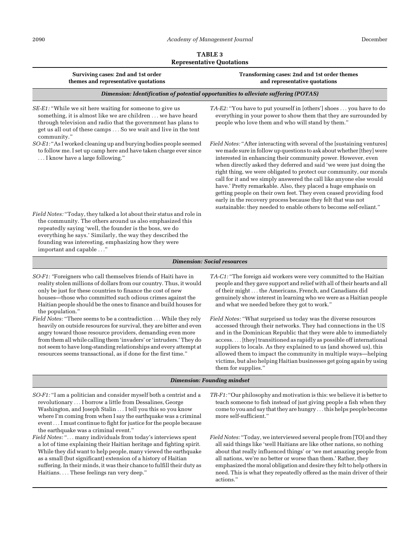#### TABLE 3 Representative Quotations

<span id="page-21-0"></span>

| Surviving cases: 2nd and 1st order<br>themes and representative quotations                                                                                                                                                                                                                                                                                                                                          | Transforming cases: 2nd and 1st order themes<br>and representative quotations                                                                                                                                                                                                                                                                                                                                                                                                                                                                                                                                                                                                                                     |
|---------------------------------------------------------------------------------------------------------------------------------------------------------------------------------------------------------------------------------------------------------------------------------------------------------------------------------------------------------------------------------------------------------------------|-------------------------------------------------------------------------------------------------------------------------------------------------------------------------------------------------------------------------------------------------------------------------------------------------------------------------------------------------------------------------------------------------------------------------------------------------------------------------------------------------------------------------------------------------------------------------------------------------------------------------------------------------------------------------------------------------------------------|
|                                                                                                                                                                                                                                                                                                                                                                                                                     | Dimension: Identification of potential opportunities to alleviate suffering (POTAS)                                                                                                                                                                                                                                                                                                                                                                                                                                                                                                                                                                                                                               |
| SE-E1: "While we sit here waiting for someone to give us<br>something, it is almost like we are children  we have heard<br>through television and radio that the government has plans to<br>get us all out of these camps  So we wait and live in the tent<br>community."                                                                                                                                           | TA-E2: "You have to put yourself in [others'] shoes  you have to do<br>everything in your power to show them that they are surrounded by<br>people who love them and who will stand by them."                                                                                                                                                                                                                                                                                                                                                                                                                                                                                                                     |
| SO-E1: "As I worked cleaning up and burying bodies people seemed<br>to follow me. I set up camp here and have taken charge ever since<br>I know have a large following."                                                                                                                                                                                                                                            | Field Notes: "After interacting with several of the [sustaining ventures]<br>we made sure in follow up questions to ask about whether [they] were<br>interested in enhancing their community power. However, even<br>when directly asked they deferred and said 'we were just doing the<br>right thing, we were obligated to protect our community, our morals<br>call for it and we simply answered the call like anyone else would<br>have.' Pretty remarkable. Also, they placed a huge emphasis on<br>getting people on their own feet. They even ceased providing food<br>early in the recovery process because they felt that was not<br>sustainable: they needed to enable others to become self-reliant." |
| Field Notes: "Today, they talked a lot about their status and role in<br>the community. The others around us also emphasized this<br>repeatedly saying 'well, the founder is the boss, we do<br>everything he says.' Similarly, the way they described the<br>founding was interesting, emphasizing how they were<br>important and capable "                                                                        |                                                                                                                                                                                                                                                                                                                                                                                                                                                                                                                                                                                                                                                                                                                   |
|                                                                                                                                                                                                                                                                                                                                                                                                                     | <b>Dimension: Social resources</b>                                                                                                                                                                                                                                                                                                                                                                                                                                                                                                                                                                                                                                                                                |
| SO-F1: "Foreigners who call themselves friends of Haiti have in<br>reality stolen millions of dollars from our country. Thus, it would<br>only be just for these countries to finance the cost of new<br>houses—those who committed such odious crimes against the<br>Haitian people should be the ones to finance and build houses for<br>the population."                                                         | TA-C1: "The foreign aid workers were very committed to the Haitian<br>people and they gave support and relief with all of their hearts and all<br>of their might the Americans, French, and Canadians did<br>genuinely show interest in learning who we were as a Haitian people<br>and what we needed before they got to work."                                                                                                                                                                                                                                                                                                                                                                                  |
| Field Notes: "There seems to be a contradiction  While they rely<br>heavily on outside resources for survival, they are bitter and even<br>angry toward those resource providers, demanding even more<br>from them all while calling them 'invaders' or 'intruders.' They do<br>not seem to have long-standing relationships and every attempt at<br>resources seems transactional, as if done for the first time." | Field Notes: "What surprised us today was the diverse resources<br>accessed through their networks. They had connections in the US<br>and in the Dominican Republic that they were able to immediately<br>access [they] transitioned as rapidly as possible off international<br>suppliers to locals. As they explained to us (and showed us), this<br>allowed them to impact the community in multiple ways-helping<br>victims, but also helping Haitian businesses get going again by using<br>them for supplies."                                                                                                                                                                                              |
|                                                                                                                                                                                                                                                                                                                                                                                                                     | <b>Dimension: Founding mindset</b>                                                                                                                                                                                                                                                                                                                                                                                                                                                                                                                                                                                                                                                                                |

- SO-F1: "I am a politician and consider myself both a centrist and a revolutionary ... I borrow a little from Dessalines, George Washington, and Joseph Stalin ... I tell you this so you know where I'm coming from when I say the earthquake was a criminal event ... I must continue to fight for justice for the people because the earthquake was a criminal event."
- Field Notes: "... many individuals from today's interviews spent a lot of time explaining their Haitian heritage and fighting spirit. While they did want to help people, many viewed the earthquake as a small (but significant) extension of a history of Haitian suffering. In their minds, it was their chance to fulfill their duty as Haitians. ... These feelings ran very deep."
- TR-F1: "Our philosophy and motivation is this: we believe it is better to teach someone to fish instead of just giving people a fish when they come to you and say that they are hungry ... this helps people become more self-sufficient."

Field Notes: "Today, we interviewed several people from [TO] and they all said things like 'well Haitians are like other nations, so nothing about that really influenced things' or 'we met amazing people from all nations, we're no better or worse than them.' Rather, they emphasized the moral obligation and desire they felt to help others in need. This is what they repeatedly offered as the main driver of their actions."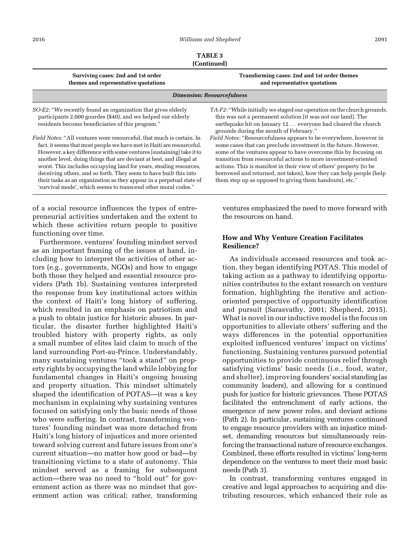| <b>TABLE 3</b> |
|----------------|
| (Continued)    |

| Surviving cases: 2nd and 1st order<br>themes and representative quotations                                                                                                                                                                                                                                                                                                                                                                                                                                                                                                                 | Transforming cases: 2nd and 1st order themes<br>and representative quotations                                                                                                                                                                                                                                                                                                                                                                                                      |
|--------------------------------------------------------------------------------------------------------------------------------------------------------------------------------------------------------------------------------------------------------------------------------------------------------------------------------------------------------------------------------------------------------------------------------------------------------------------------------------------------------------------------------------------------------------------------------------------|------------------------------------------------------------------------------------------------------------------------------------------------------------------------------------------------------------------------------------------------------------------------------------------------------------------------------------------------------------------------------------------------------------------------------------------------------------------------------------|
|                                                                                                                                                                                                                                                                                                                                                                                                                                                                                                                                                                                            | <b>Dimension: Resourcefulness</b>                                                                                                                                                                                                                                                                                                                                                                                                                                                  |
| SO-E2: "We recently found an organization that gives elderly<br>participants 2,000 gourdes (\$40), and we helped our elderly<br>residents become beneficiaries of this program."                                                                                                                                                                                                                                                                                                                                                                                                           | TA-F2: "While initially we staged our operation on the church grounds,<br>this was not a permanent solution [it was not our land]. The<br>earthquake hit on January 12 everyone had cleared the church<br>grounds during the month of February."                                                                                                                                                                                                                                   |
| <i>Field Notes:</i> "All ventures were resourceful, that much is certain. In<br>fact, it seems that most people we have met in Haiti are resourceful.<br>However, a key difference with some ventures [sustaining] take it to<br>another level, doing things that are deviant at best, and illegal at<br>worst. This includes occupying land for years, stealing resources,<br>deceiving others, and so forth. They seem to have built this into<br>their tasks as an organization as they appear in a perpetual state of<br>'survival mode', which seems to transcend other moral codes." | Field Notes: "Resourcefulness appears to be everywhere, however in<br>some cases that can preclude investment in the future. However,<br>some of the ventures appear to have overcome this by focusing on<br>transition from resourceful actions to more investment-oriented<br>actions. This is manifest in their view of others' property (to be<br>borrowed and returned, not taken), how they can help people (help<br>them step up as opposed to giving them handouts), etc." |
| of a social resource influences the types of entre-<br>represented estimities undertaken and the extent to                                                                                                                                                                                                                                                                                                                                                                                                                                                                                 | ventures emphasized the need to move forward with<br>the recourses on hand                                                                                                                                                                                                                                                                                                                                                                                                         |

preneurial activities undertaken and the extent to which these activities return people to positive functioning over time.

Furthermore, ventures' founding mindset served as an important framing of the issues at hand, including how to interpret the activities of other actors (e.g., governments, NGOs) and how to engage both those they helped and essential resource providers (Path 1b). Sustaining ventures interpreted the response from key institutional actors within the context of Haiti's long history of suffering, which resulted in an emphasis on patriotism and a push to obtain justice for historic abuses. In particular, the disaster further highlighted Haiti's troubled history with property rights, as only a small number of elites laid claim to much of the land surrounding Port-au-Prince. Understandably, many sustaining ventures "took a stand" on property rights by occupying the land while lobbying for fundamental changes in Haiti's ongoing housing and property situation. This mindset ultimately shaped the identification of POTAS—it was a key mechanism in explaining why sustaining ventures focused on satisfying only the basic needs of those who were suffering. In contrast, transforming ventures' founding mindset was more detached from Haiti's long history of injustices and more oriented toward solving current and future issues from one's current situation—no matter how good or bad—by transitioning victims to a state of autonomy. This mindset served as a framing for subsequent action—there was no need to "hold out" for government action as there was no mindset that government action was critical; rather, transforming the resources on hand.

# How and Why Venture Creation Facilitates Resilience?

As individuals accessed resources and took action, they began identifying POTAS. This model of taking action as a pathway to identifying opportunities contributes to the extant research on venture formation, highlighting the iterative and actionoriented perspective of opportunity identification and pursuit ([Sarasvathy, 2001](#page-31-0); [Shepherd, 2015](#page-31-0)). What is novel in our inductive model is the focus on opportunities to alleviate others' suffering and the ways differences in the potential opportunities exploited influenced ventures' impact on victims' functioning. Sustaining ventures pursued potential opportunities to provide continuous relief through satisfying victims' basic needs (i.e., food, water, and shelter), improving founders' social standing (as community leaders), and allowing for a continued push for justice for historic grievances. These POTAS facilitated the entrenchment of early actions, the emergence of new power roles, and deviant actions (Path 2). In particular, sustaining ventures continued to engage resource providers with an injustice mindset, demanding resources but simultaneously reinforcing the transactional nature of resource exchanges. Combined, these efforts resulted in victims' long-term dependence on the ventures to meet their most basic needs (Path 3).

In contrast, transforming ventures engaged in creative and legal approaches to acquiring and distributing resources, which enhanced their role as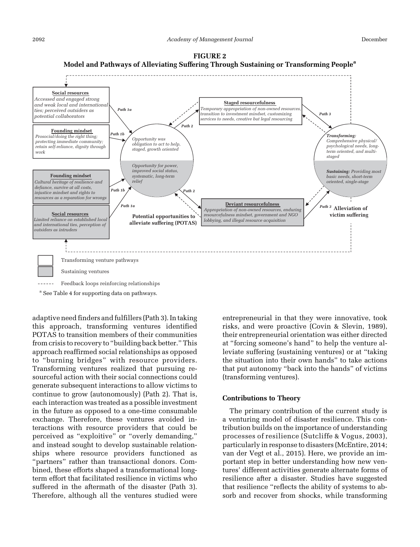<span id="page-23-0"></span>

FIGURE 2 Model and Pathways of Alleviating Suffering Through Sustaining or Transforming People<sup>a</sup>

<sup>a</sup> See [Table 4](#page-25-0) for supporting data on pathways.

adaptive need finders and fulfillers (Path 3). In taking this approach, transforming ventures identified POTAS to transition members of their communities from crisis to recovery to "building back better."This approach reaffirmed social relationships as opposed to "burning bridges" with resource providers. Transforming ventures realized that pursuing resourceful action with their social connections could generate subsequent interactions to allow victims to continue to grow (autonomously) (Path 2). That is, each interaction was treated as a possible investment in the future as opposed to a one-time consumable exchange. Therefore, these ventures avoided interactions with resource providers that could be perceived as "exploitive" or "overly demanding," and instead sought to develop sustainable relationships where resource providers functioned as "partners" rather than transactional donors. Combined, these efforts shaped a transformational longterm effort that facilitated resilience in victims who suffered in the aftermath of the disaster (Path 3). Therefore, although all the ventures studied were

entrepreneurial in that they were innovative, took risks, and were proactive [\(Covin & Slevin, 1989](#page-29-0)), their entrepreneurial orientation was either directed at "forcing someone's hand" to help the venture alleviate suffering (sustaining ventures) or at "taking the situation into their own hands" to take actions that put autonomy "back into the hands" of victims (transforming ventures).

### Contributions to Theory

The primary contribution of the current study is a venturing model of disaster resilience. This contribution builds on the importance of understanding processes of resilience ([Sutcliffe & Vogus, 2003\)](#page-31-0), particularly in response to disasters [\(McEntire, 2014](#page-30-0); [van der Vegt et al., 2015\)](#page-31-0). Here, we provide an important step in better understanding how new ventures' different activities generate alternate forms of resilience after a disaster. Studies have suggested that resilience "reflects the ability of systems to absorb and recover from shocks, while transforming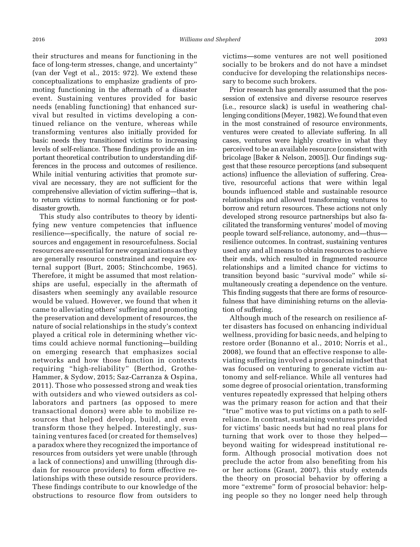their structures and means for functioning in the face of long-term stresses, change, and uncertainty" [\(van der Vegt et al., 2015:](#page-31-0) 972). We extend these conceptualizations to emphasize gradients of promoting functioning in the aftermath of a disaster event. Sustaining ventures provided for basic needs (enabling functioning) that enhanced survival but resulted in victims developing a continued reliance on the venture, whereas while transforming ventures also initially provided for basic needs they transitioned victims to increasing levels of self-reliance. These findings provide an important theoretical contribution to understanding differences in the process and outcomes of resilience. While initial venturing activities that promote survival are necessary, they are not sufficient for the comprehensive alleviation of victim suffering—that is, to return victims to normal functioning or for postdisaster growth.

This study also contributes to theory by identifying new venture competencies that influence resilience—specifically, the nature of social resources and engagement in resourcefulness. Social resources are essential for new organizations as they are generally resource constrained and require external support ([Burt, 2005;](#page-29-0) [Stinchcombe, 1965](#page-31-0)). Therefore, it might be assumed that most relationships are useful, especially in the aftermath of disasters when seemingly any available resource would be valued. However, we found that when it came to alleviating others' suffering and promoting the preservation and development of resources, the nature of social relationships in the study's context played a critical role in determining whether victims could achieve normal functioning—building on emerging research that emphasizes social networks and how those function in contexts requiring "high-reliability" ([Berthod, Grothe-](#page-29-0)[Hammer, & Sydow, 2015;](#page-29-0) [Saz-Carranza & Ospina,](#page-31-0) [2011\)](#page-31-0). Those who possessed strong and weak ties with outsiders and who viewed outsiders as collaborators and partners (as opposed to mere transactional donors) were able to mobilize resources that helped develop, build, and even transform those they helped. Interestingly, sustaining ventures faced (or created for themselves) a paradox where they recognized the importance of resources from outsiders yet were unable (through a lack of connections) and unwilling (through disdain for resource providers) to form effective relationships with these outside resource providers. These findings contribute to our knowledge of the obstructions to resource flow from outsiders to

victims—some ventures are not well positioned socially to be brokers and do not have a mindset conducive for developing the relationships necessary to become such brokers.

Prior research has generally assumed that the possession of extensive and diverse resource reserves (i.e., resource slack) is useful in weathering challenging conditions ([Meyer, 1982\)](#page-30-0). We found that even in the most constrained of resource environments, ventures were created to alleviate suffering. In all cases, ventures were highly creative in what they perceived to be an available resource (consistent with bricolage [\[Baker & Nelson, 2005](#page-29-0)]). Our findings suggest that these resource perceptions (and subsequent actions) influence the alleviation of suffering. Creative, resourceful actions that were within legal bounds influenced stable and sustainable resource relationships and allowed transforming ventures to borrow and return resources. These actions not only developed strong resource partnerships but also facilitated the transforming ventures' model of moving people toward self-reliance, autonomy, and—thus resilience outcomes. In contrast, sustaining ventures used any and all means to obtain resources to achieve their ends, which resulted in fragmented resource relationships and a limited chance for victims to transition beyond basic "survival mode" while simultaneously creating a dependence on the venture. This finding suggests that there are forms of resourcefulness that have diminishing returns on the alleviation of suffering.

Although much of the research on resilience after disasters has focused on enhancing individual wellness, providing for basic needs, and helping to restore order ([Bonanno et al., 2010;](#page-29-0) [Norris et al.,](#page-30-0) [2008\)](#page-30-0), we found that an effective response to alleviating suffering involved a prosocial mindset that was focused on venturing to generate victim autonomy and self-reliance. While all ventures had some degree of prosocial orientation, transforming ventures repeatedly expressed that helping others was the primary reason for action and that their "true" motive was to put victims on a path to selfreliance. In contrast, sustaining ventures provided for victims' basic needs but had no real plans for turning that work over to those they helped beyond waiting for widespread institutional reform. Although prosocial motivation does not preclude the actor from also benefiting from his or her actions ([Grant, 2007\)](#page-30-0), this study extends the theory on prosocial behavior by offering a more "extreme" form of prosocial behavior: helping people so they no longer need help through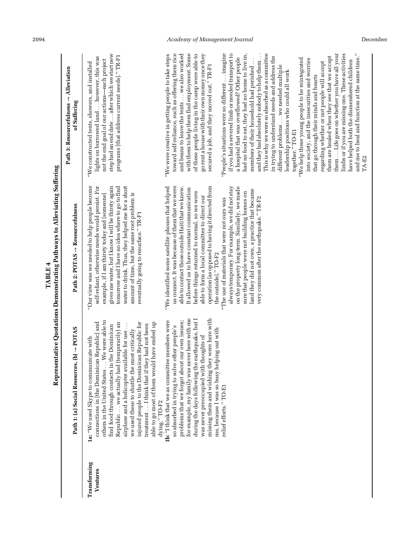<span id="page-25-0"></span>

|                          | Path 1: (a) Social Resources, $(b) \rightarrow$ POTAS                                                                                                                                                                                                                                                                                                                                                                                                                                                                        | Path 2: $POTAS \rightarrow Resourcefulness$                                                                                                                                                                                                                                                                                                                                                             | Path 3: Resourcefulness $\rightarrow$ Alleviation<br>of Suffering                                                                                                                                                                                                                                                                                                                                                                                                                                                     |
|--------------------------|------------------------------------------------------------------------------------------------------------------------------------------------------------------------------------------------------------------------------------------------------------------------------------------------------------------------------------------------------------------------------------------------------------------------------------------------------------------------------------------------------------------------------|---------------------------------------------------------------------------------------------------------------------------------------------------------------------------------------------------------------------------------------------------------------------------------------------------------------------------------------------------------------------------------------------------------|-----------------------------------------------------------------------------------------------------------------------------------------------------------------------------------------------------------------------------------------------------------------------------------------------------------------------------------------------------------------------------------------------------------------------------------------------------------------------------------------------------------------------|
| Transforming<br>Ventures | $\ldots$ We were able to<br>injured people to the Dominican Republic for<br>connections in [the Dominican Republic] and<br>able to go most of them would have ended up<br>Republic  we actually had (temporarily) an<br>treatment  I think that if they had not been<br>find food through contacts in the Dominican<br>airplane and a helicopter available for use<br>we used these to shuttle the most critically<br>1a: "We used Skype to communicate with<br>others in the United States<br>$\operatorname{dyng." TO-F2}$ | "Our view was we needed to help people become<br>self-reliant, otherwise needs would persist. For<br>water to drink. Thus, they helped me for a short<br>gives me water, but I know I will be thirsty again<br>tomorrow and I have no idea where to go to find<br>amount of time, but the same root problem is<br>example, if I am thirsty today and [someone]<br>eventually going to resurface." TR-F1 | step had an end date after which we start new<br>programs [that address current needs]." TR-F1<br>lights on borrowed land  however, this was<br>not the end goal of our actions—each project<br>"We constructed tents, showers, and installed                                                                                                                                                                                                                                                                         |
|                          | for example, my family was never here with me<br>during the days following the earthquake, but I<br>missing them and wishing they were here with<br>1b: "I think that we as committee members were<br>problems that we forgot about our own issues;<br>so absorbed in trying to solve other people's<br>helping out with<br>was never preoccupied with thoughts of<br>me, because I was so busy                                                                                                                              | us connect. It was because of them that we were<br>"We identified some satellite phones that helped<br>able to contact those outside Haiti that we knew.<br>operation [as opposed to having it directed from<br>It allowed us to have constant communication<br>before things returned to normal, so we were<br>able to form a local committee to direct our<br>the outside]." TO-F2                    | toward self-reliance, such as offering them rice<br>with them to help them find employment. Some<br>and beans to leave the tents  we also worked<br>of these people living in the camp were able to<br>go rent a house with their own money once they<br>"We were creative in getting people to take steps<br>secured a job, and they moved out." TR-F1                                                                                                                                                               |
|                          | relief efforts." TO-E1                                                                                                                                                                                                                                                                                                                                                                                                                                                                                                       | always temporary. For example, we did not stay<br>on the property long-term. Similarly, we made<br>land they did not own, a practice that became<br>sure that people were not building homes on<br>very common after the earthquake." TR-F2<br>"The use of materials that were not ours was                                                                                                             | "People's situations were so different  imagine<br>had no food to eat, they had no home to live in,<br>if you had a severed limb or needed transport to<br>This is why we were so absorbed as a committee<br>and they had absolutely nobody to help them<br>in trying to understand needs and address the<br>a hospital that was overflowed? Other people<br>members of their household had perished<br>different problems  we needed multiple                                                                        |
|                          |                                                                                                                                                                                                                                                                                                                                                                                                                                                                                                                              |                                                                                                                                                                                                                                                                                                                                                                                                         | them  Life goes on whether you have all your<br>limbs or if you are missing one. These activities<br>and me to heal and function at the same time."<br>them are healed when they see that we accept<br>"We help these young people to be reintegrated<br>into society, and the insecurities and worries<br>have helped both the dismembered children<br>regarding whether or not people will accept<br>leadership positions who could all work<br>that go through their minds and hearts<br>together." TO-E1<br>TA-E2 |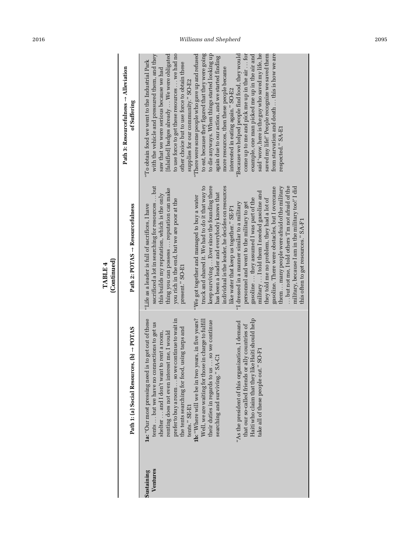|                        |                                                                                                                                                                                                                                                                                                                                                                                                                                                                                                                                                                                                                                                                                                                                          | (Continued)                                                                                                                                                                                                                                                                                                                                                                                                                                                                                                                                                                                                                                                                                                                                                                                                                                                                                                                                                                                                                                                 |                                                                                                                                                                                                                                                                                                                                                                                                                                                                                                                                                                                                                                                                                                                                                                                                                                                                                                                                                                   |
|------------------------|------------------------------------------------------------------------------------------------------------------------------------------------------------------------------------------------------------------------------------------------------------------------------------------------------------------------------------------------------------------------------------------------------------------------------------------------------------------------------------------------------------------------------------------------------------------------------------------------------------------------------------------------------------------------------------------------------------------------------------------|-------------------------------------------------------------------------------------------------------------------------------------------------------------------------------------------------------------------------------------------------------------------------------------------------------------------------------------------------------------------------------------------------------------------------------------------------------------------------------------------------------------------------------------------------------------------------------------------------------------------------------------------------------------------------------------------------------------------------------------------------------------------------------------------------------------------------------------------------------------------------------------------------------------------------------------------------------------------------------------------------------------------------------------------------------------|-------------------------------------------------------------------------------------------------------------------------------------------------------------------------------------------------------------------------------------------------------------------------------------------------------------------------------------------------------------------------------------------------------------------------------------------------------------------------------------------------------------------------------------------------------------------------------------------------------------------------------------------------------------------------------------------------------------------------------------------------------------------------------------------------------------------------------------------------------------------------------------------------------------------------------------------------------------------|
|                        | Path 1: (a) Social Resources, (b) $\rightarrow$ POTAS                                                                                                                                                                                                                                                                                                                                                                                                                                                                                                                                                                                                                                                                                    | Path 2: $POTAS \rightarrow Resourcellness$                                                                                                                                                                                                                                                                                                                                                                                                                                                                                                                                                                                                                                                                                                                                                                                                                                                                                                                                                                                                                  | Path 3: Resourcefulness $\rightarrow$ Alleviation<br>of Suffering                                                                                                                                                                                                                                                                                                                                                                                                                                                                                                                                                                                                                                                                                                                                                                                                                                                                                                 |
| Ventures<br>Sustaining | years, in five years?<br>1a: "Our most pressing need is to get out of these<br>Haiti who claim that they like Haiti should help<br>prefer to buy a room so we continue to wait in<br>Well, we are waiting for those in charge to fulfill<br>their duties in regards to us  so we continue<br>"As the president of this organization, I demand<br>tents  but we have no connections to get us<br>that our so-called friends or ally countries of<br>the tents searching for food, using tarps and<br>renting does not even interest me, I would<br>shelter  and I don't want to rent a room,<br>take all of these people out." SO-F1<br>SA-C1<br>1b: "Where will we be in two<br>$\rm{searching}$ and $\rm{surviving."}$<br>tents." SE-E1 | keep surviving  Ever since the founding there<br>sacrificed a lot in searching for resourcesbut<br>truck and shared it. We had to do it that way to<br>individual is the leader, he decides on resources<br>but not me, I told others 'I'm not afraid of the<br>themmany people were afraid of the military<br>military, because I am in the military too!' I did<br>gasoline. There were obstacles, but I overcame<br>thing you can possess reputation can make<br>military  I told them I needed gasoline and<br>has been a leader and everybody knows that<br>this builds my reputation, which is the only<br>"We got together and managed to buy a water<br>gasoline  they assumed I was part of the<br>you rich in the end, but we are poor at the<br>they told me no problem, they had a lot of<br>"I dressed in a manner similar to a military<br>personnel and went to the military to get<br>"Life as a leader is full of sacrifices, I have<br>like water that keep us together." SE-F1<br>this often to get resources." SA-F1<br>present." SO-E1 | "There were some people who gave up and refused<br>to eat, because they figured that they were going<br>come up to me and pick me up in the air  for<br>[falsified] badges already  We were obligated<br>to die anyways. When things started looking up<br>"Because we helped people find food, they would<br>said 'wow, here is the guy who saved my life, he<br>saved my life!' People recognize we saved them<br>from starvation and death  this is how we are<br>to use force to get these resources we had no<br>example, one man picked me up in the air and<br>with the vehicle and pressured them, and they<br>again due to our action, and we started finding<br>"To obtain food we went to the Industrial Park<br>other choice but to use force to obtain these<br>saw that we were serious because we had<br>more resources, then these people became<br>supplies for our community." SO-E2<br>interested in eating again." SO-E2<br>respected." SA-E1 |

TABLE 4

TABLE 4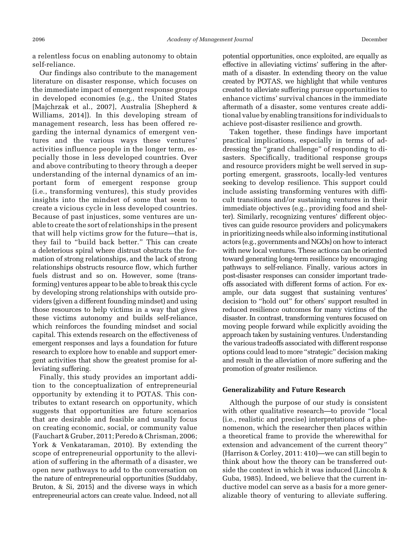a relentless focus on enabling autonomy to obtain self-reliance.

Our findings also contribute to the management literature on disaster response, which focuses on the immediate impact of emergent response groups in developed economies (e.g., the United States [\[Majchrzak et al., 2007](#page-30-0)], Australia [[Shepherd &](#page-31-0) [Williams, 2014\]](#page-31-0)). In this developing stream of management research, less has been offered regarding the internal dynamics of emergent ventures and the various ways these ventures' activities influence people in the longer term, especially those in less developed countries. Over and above contributing to theory through a deeper understanding of the internal dynamics of an important form of emergent response group (i.e., transforming ventures), this study provides insights into the mindset of some that seem to create a vicious cycle in less developed countries. Because of past injustices, some ventures are unable to create the sort of relationships in the present that will help victims grow for the future—that is, they fail to "build back better." This can create a deleterious spiral where distrust obstructs the formation of strong relationships, and the lack of strong relationships obstructs resource flow, which further fuels distrust and so on. However, some (transforming) ventures appear to be able to break this cycle by developing strong relationships with outside providers (given a different founding mindset) and using those resources to help victims in a way that gives these victims autonomy and builds self-reliance, which reinforces the founding mindset and social capital. This extends research on the effectiveness of emergent responses and lays a foundation for future research to explore how to enable and support emergent activities that show the greatest promise for alleviating suffering.

Finally, this study provides an important addition to the conceptualization of entrepreneurial opportunity by extending it to POTAS. This contributes to extant research on opportunity, which suggests that opportunities are future scenarios that are desirable and feasible and usually focus on creating economic, social, or community value [\(Fauchart & Gruber, 2011;](#page-29-0) [Peredo & Chrisman, 2006](#page-31-0); [York & Venkataraman, 2010\)](#page-32-0). By extending the scope of entrepreneurial opportunity to the alleviation of suffering in the aftermath of a disaster, we open new pathways to add to the conversation on the nature of entrepreneurial opportunities [\(Suddaby,](#page-31-0) [Bruton, & Si, 2015](#page-31-0)) and the diverse ways in which entrepreneurial actors can create value. Indeed, not all

potential opportunities, once exploited, are equally as effective in alleviating victims' suffering in the aftermath of a disaster. In extending theory on the value created by POTAS, we highlight that while ventures created to alleviate suffering pursue opportunities to enhance victims' survival chances in the immediate aftermath of a disaster, some ventures create additional value by enabling transitions for individuals to achieve post-disaster resilience and growth.

Taken together, these findings have important practical implications, especially in terms of addressing the "grand challenge" of responding to disasters. Specifically, traditional response groups and resource providers might be well served in supporting emergent, grassroots, locally-led ventures seeking to develop resilience. This support could include assisting transforming ventures with difficult transitions and/or sustaining ventures in their immediate objectives (e.g., providing food and shelter). Similarly, recognizing ventures' different objectives can guide resource providers and policymakers in prioritizing needs while also informing institutional actors (e.g., governments and NGOs) on how to interact with new local ventures. These actions can be oriented toward generating long-term resilience by encouraging pathways to self-reliance. Finally, various actors in post-disaster responses can consider important tradeoffs associated with different forms of action. For example, our data suggest that sustaining ventures' decision to "hold out" for others' support resulted in reduced resilience outcomes for many victims of the disaster. In contrast, transforming ventures focused on moving people forward while explicitly avoiding the approach taken by sustaining ventures. Understanding the various tradeoffs associated with different response options could lead to more "strategic" decision making and result in the alleviation of more suffering and the promotion of greater resilience.

#### Generalizability and Future Research

Although the purpose of our study is consistent with other qualitative research—to provide "local (i.e., realistic and precise) interpretations of a phenomenon, which the researcher then places within a theoretical frame to provide the wherewithal for extension and advancement of the current theory" [\(Harrison & Corley, 2011](#page-30-0): 410)—we can still begin to think about how the theory can be transferred outside the context in which it was induced ([Lincoln &](#page-30-0) [Guba, 1985](#page-30-0)). Indeed, we believe that the current inductive model can serve as a basis for a more generalizable theory of venturing to alleviate suffering.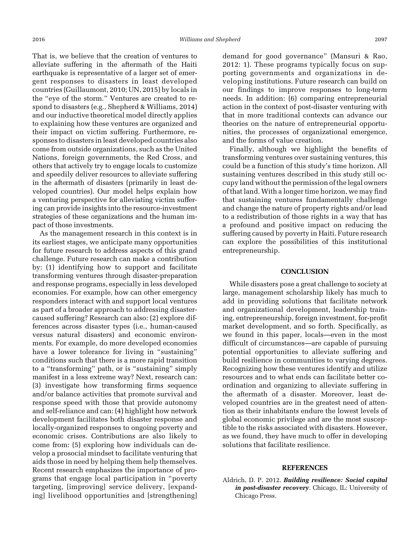<span id="page-28-0"></span>That is, we believe that the creation of ventures to alleviate suffering in the aftermath of the Haiti earthquake is representative of a larger set of emergent responses to disasters in least developed countries [\(Guillaumont, 2010](#page-30-0); [UN, 2015\)](#page-31-0) by locals in the "eye of the storm." Ventures are created to respond to disasters (e.g., [Shepherd & Williams, 2014\)](#page-31-0) and our inductive theoretical model directly applies to explaining how these ventures are organized and their impact on victim suffering. Furthermore, responses to disasters in least developed countries also come from outside organizations, such as the United Nations, foreign governments, the Red Cross, and others that actively try to engage locals to customize and speedily deliver resources to alleviate suffering in the aftermath of disasters (primarily in least developed countries). Our model helps explain how a venturing perspective for alleviating victim suffering can provide insights into the resource-investment strategies of these organizations and the human impact of those investments.

As the management research in this context is in its earliest stages, we anticipate many opportunities for future research to address aspects of this grand challenge. Future research can make a contribution by: (1) identifying how to support and facilitate transforming ventures through disaster-preparation and response programs, especially in less developed economies. For example, how can other emergency responders interact with and support local ventures as part of a broader approach to addressing disastercaused suffering? Research can also: (2) explore differences across disaster types (i.e., human-caused versus natural disasters) and economic environments. For example, do more developed economies have a lower tolerance for living in "sustaining" conditions such that there is a more rapid transition to a "transforming" path, or is "sustaining" simply manifest in a less extreme way? Next, research can: (3) investigate how transforming firms sequence and/or balance activities that promote survival and response speed with those that provide autonomy and self-reliance and can: (4) highlight how network development facilitates both disaster response and locally-organized responses to ongoing poverty and economic crises. Contributions are also likely to come from: (5) exploring how individuals can develop a prosocial mindset to facilitate venturing that aids those in need by helping them help themselves. Recent research emphasizes the importance of programs that engage local participation in "poverty targeting, [improving] service delivery, [expanding] livelihood opportunities and [strengthening] demand for good governance" [\(Mansuri & Rao,](#page-30-0) [2012:](#page-30-0) 1). These programs typically focus on supporting governments and organizations in developing institutions. Future research can build on our findings to improve responses to long-term needs. In addition: (6) comparing entrepreneurial action in the context of post-disaster venturing with that in more traditional contexts can advance our theories on the nature of entrepreneurial opportunities, the processes of organizational emergence, and the forms of value creation.

Finally, although we highlight the benefits of transforming ventures over sustaining ventures, this could be a function of this study's time horizon. All sustaining ventures described in this study still occupy land without the permission of the legal owners of that land. With a longer time horizon, we may find that sustaining ventures fundamentally challenge and change the nature of property rights and/or lead to a redistribution of those rights in a way that has a profound and positive impact on reducing the suffering caused by poverty in Haiti. Future research can explore the possibilities of this institutional entrepreneurship.

#### **CONCLUSION**

While disasters pose a great challenge to society at large, management scholarship likely has much to add in providing solutions that facilitate network and organizational development, leadership training, entrepreneurship, foreign investment, for-profit market development, and so forth. Specifically, as we found in this paper, locals—even in the most difficult of circumstances—are capable of pursuing potential opportunities to alleviate suffering and build resilience in communities to varying degrees. Recognizing how these ventures identify and utilize resources and to what ends can facilitate better coordination and organizing to alleviate suffering in the aftermath of a disaster. Moreover, least developed countries are in the greatest need of attention as their inhabitants endure the lowest levels of global economic privilege and are the most susceptible to the risks associated with disasters. However, as we found, they have much to offer in developing solutions that facilitate resilience.

#### **REFERENCES**

Aldrich, D. P. 2012. Building resilience: Social capital in post-disaster recovery. Chicago, IL: University of Chicago Press.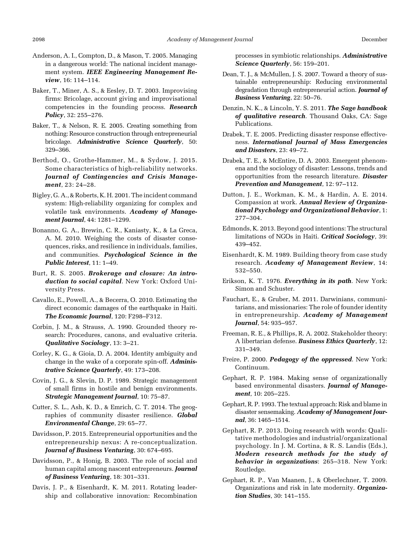- <span id="page-29-0"></span>Anderson, A. I., Compton, D., & Mason, T. 2005. Managing in a dangerous world: The national incident management system. IEEE Engineering Management Review, 16: 114–114.
- Baker, T., Miner, A. S., & Eesley, D. T. 2003. Improvising firms: Bricolage, account giving and improvisational competencies in the founding process. Research Policy, 32: 255–276.
- Baker, T., & Nelson, R. E. 2005. Creating something from nothing: Resource construction through entrepreneurial bricolage. Administrative Science Quarterly, 50: 329–366.
- Berthod, O., Grothe‐Hammer, M., & Sydow, J. 2015. Some characteristics of high-reliability networks. Journal of Contingencies and Crisis Management, 23: 24–28.
- Bigley, G. A., & Roberts, K. H. 2001. The incident command system: High-reliability organizing for complex and volatile task environments. Academy of Management Journal, 44: 1281–1299.
- Bonanno, G. A., Brewin, C. R., Kaniasty, K., & La Greca, A. M. 2010. Weighing the costs of disaster consequences, risks, and resilience in individuals, families, and communities. Psychological Science in the Public Interest, 11: 1–49.
- Burt, R. S. 2005. Brokerage and closure: An introduction to social capital. New York: Oxford University Press.
- Cavallo, E., Powell, A., & Becerra, O. 2010. Estimating the direct economic damages of the earthquake in Haiti. The Economic Journal, 120: F298–F312.
- Corbin, J. M., & Strauss, A. 1990. Grounded theory research: Procedures, canons, and evaluative criteria. Qualitative Sociology, 13: 3–21.
- Corley, K. G., & Gioia, D. A. 2004. Identity ambiguity and change in the wake of a corporate spin-off. Administrative Science Quarterly, 49: 173–208.
- Covin, J. G., & Slevin, D. P. 1989. Strategic management of small firms in hostile and benign environments. Strategic Management Journal, 10: 75–87.
- Cutter, S. L., Ash, K. D., & Emrich, C. T. 2014. The geographies of community disaster resilience. Global Environmental Change, 29: 65–77.
- Davidsson, P. 2015. Entrepreneurial opportunities and the entrepreneurship nexus: A re-conceptualization. Journal of Business Venturing, 30: 674–695.
- Davidsson, P., & Honig, B. 2003. The role of social and human capital among nascent entrepreneurs. Journal of Business Venturing, 18: 301–331.
- Davis, J. P., & Eisenhardt, K. M. 2011. Rotating leadership and collaborative innovation: Recombination

processes in symbiotic relationships. Administrative Science Quarterly, 56: 159–201.

- Dean, T. J., & McMullen, J. S. 2007. Toward a theory of sustainable entrepreneurship: Reducing environmental degradation through entrepreneurial action. Journal of Business Venturing, 22: 50–76.
- Denzin, N. K., & Lincoln, Y. S. 2011. The Sage handbook of qualitative research. Thousand Oaks, CA: Sage Publications.
- Drabek, T. E. 2005. Predicting disaster response effectiveness. International Journal of Mass Emergencies and Disasters, 23: 49–72.
- Drabek, T. E., & McEntire, D. A. 2003. Emergent phenomena and the sociology of disaster: Lessons, trends and opportunities from the research literature. Disaster Prevention and Management, 12: 97–112.
- Dutton, J. E., Workman, K. M., & Hardin, A. E. 2014. Compassion at work. Annual Review of Organizational Psychology and Organizational Behavior, 1: 277–304.
- Edmonds, K. 2013. Beyond good intentions: The structural limitations of NGOs in Haiti. Critical Sociology, 39: 439–452.
- Eisenhardt, K. M. 1989. Building theory from case study research. Academy of Management Review, 14: 532–550.
- Erikson, K. T. 1976. Everything in its path. New York: Simon and Schuster.
- Fauchart, E., & Gruber, M. 2011. Darwinians, communitarians, and missionaries: The role of founder identity in entrepreneurship. Academy of Management Journal, 54: 935–957.
- Freeman, R. E., & Phillips, R. A. 2002. Stakeholder theory: A libertarian defense. Business Ethics Quarterly, 12: 331–349.
- Freire, P. 2000. Pedagogy of the oppressed. New York: Continuum.
- Gephart, R. P. 1984. Making sense of organizationally based environmental disasters. Journal of Management, 10: 205-225.
- Gephart, R. P. 1993. The textual approach: Risk and blame in disaster sensemaking. Academy of Management Journal, 36: 1465–1514.
- Gephart, R. P. 2013. Doing research with words: Qualitative methodologies and industrial/organizational psychology. In J. M. Cortina, & R. S. Landis (Eds.), Modern research methods for the study of behavior in organizations: 265-318. New York: Routledge.
- Gephart, R. P., Van Maanen, J., & Oberlechner, T. 2009. Organizations and risk in late modernity. Organization Studies, 30: 141–155.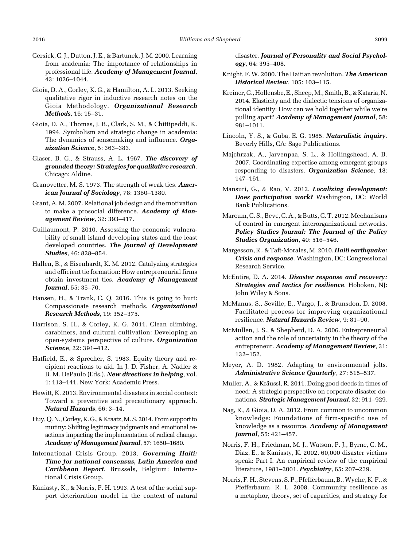- <span id="page-30-0"></span>Gersick, C. J., Dutton, J. E., & Bartunek, J. M. 2000. Learning from academia: The importance of relationships in professional life. Academy of Management Journal, 43: 1026–1044.
- Gioia, D. A., Corley, K. G., & Hamilton, A. L. 2013. Seeking qualitative rigor in inductive research notes on the Gioia Methodology. Organizational Research Methods, 16: 15–31.
- Gioia, D. A., Thomas, J. B., Clark, S. M., & Chittipeddi, K. 1994. Symbolism and strategic change in academia: The dynamics of sensemaking and influence. Organization Science, 5: 363–383.
- Glaser, B. G., & Strauss, A. L. 1967. The discovery of grounded theory: Strategies for qualitative research. Chicago: Aldine.
- Granovetter, M. S. 1973. The strength of weak ties. American Journal of Sociology, 78: 1360–1380.
- Grant, A. M. 2007. Relational job design and the motivation to make a prosocial difference. Academy of Management Review, 32: 393–417.
- Guillaumont, P. 2010. Assessing the economic vulnerability of small island developing states and the least developed countries. The Journal of Development Studies, 46: 828–854.
- Hallen, B., & Eisenhardt, K. M. 2012. Catalyzing strategies and efficient tie formation: How entrepreneurial firms obtain investment ties. Academy of Management Journal, 55: 35–70.
- Hansen, H., & Trank, C. Q. 2016. This is going to hurt: Compassionate research methods. Organizational Research Methods, 19: 352–375.
- Harrison, S. H., & Corley, K. G. 2011. Clean climbing, carabiners, and cultural cultivation: Developing an open-systems perspective of culture. Organization Science, 22: 391–412.
- Hatfield, E., & Sprecher, S. 1983. Equity theory and recipient reactions to aid. In J. D. Fisher, A. Nadler & B. M. DePaulo (Eds.), New directions in helping, vol. 1: 113–141. New York: Academic Press.
- Hewitt, K. 2013. Environmental disasters in social context: Toward a preventive and precautionary approach. Natural Hazards, 66: 3–14.
- Huy, Q. N., Corley, K. G., & Kraatz, M. S. 2014. From support to mutiny: Shifting legitimacy judgments and emotional reactions impacting the implementation of radical change. Academy of Management Journal, 57: 1650–1680.
- International Crisis Group. 2013. Governing Haiti: Time for national consensus, Latin America and Caribbean Report. Brussels, Belgium: International Crisis Group.
- Kaniasty, K., & Norris, F. H. 1993. A test of the social support deterioration model in the context of natural

disaster. Journal of Personality and Social Psychology, 64: 395–408.

- Knight, F. W. 2000. The Haitian revolution. The American Historical Review, 105: 103–115.
- Kreiner, G., Hollensbe, E., Sheep,M., Smith, B., & Kataria, N. 2014. Elasticity and the dialectic tensions of organizational identity: How can we hold together while we're pulling apart? Academy of Management Journal, 58: 981–1011.
- Lincoln, Y. S., & Guba, E. G. 1985. Naturalistic inquiry. Beverly Hills, CA: Sage Publications.
- Majchrzak, A., Jarvenpaa, S. L., & Hollingshead, A. B. 2007. Coordinating expertise among emergent groups responding to disasters. Organization Science, 18: 147–161.
- Mansuri, G., & Rao, V. 2012. Localizing development: Does participation work? Washington, DC: World Bank Publications.
- Marcum, C. S., Bevc, C. A., & Butts, C. T. 2012. Mechanisms of control in emergent interorganizational networks. Policy Studies Journal: The Journal of the Policy Studies Organization, 40: 516–546.
- Margesson, R., & Taft-Morales, M. 2010. Haiti earthquake: Crisis and response. Washington, DC: Congressional Research Service.
- McEntire, D. A. 2014. Disaster response and recovery: Strategies and tactics for resilience. Hoboken, NJ: John Wiley & Sons.
- McManus, S., Seville, E., Vargo, J., & Brunsdon, D. 2008. Facilitated process for improving organizational resilience. Natural Hazards Review, 9: 81–90.
- McMullen, J. S., & Shepherd, D. A. 2006. Entrepreneurial action and the role of uncertainty in the theory of the entrepreneur. Academy of Management Review, 31: 132–152.
- Meyer, A. D. 1982. Adapting to environmental jolts. Administrative Science Quarterly, 27: 515–537.
- Muller, A., & Kräussl, R. 2011. Doing good deeds in times of need: A strategic perspective on corporate disaster donations. Strategic Management Journal, 32: 911–929.
- Nag, R., & Gioia, D. A. 2012. From common to uncommon knowledge: Foundations of firm-specific use of knowledge as a resource. Academy of Management Journal, 55: 421–457.
- Norris, F. H., Friedman, M. J., Watson, P. J., Byrne, C. M., Diaz, E., & Kaniasty, K. 2002. 60,000 disaster victims speak: Part I. An empirical review of the empirical literature, 1981-2001. Psychiatry, 65: 207-239.
- Norris, F. H., Stevens, S. P., Pfefferbaum, B.,Wyche, K. F., & Pfefferbaum, R. L. 2008. Community resilience as a metaphor, theory, set of capacities, and strategy for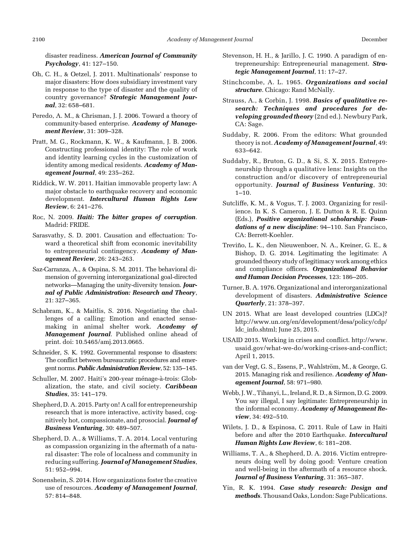<span id="page-31-0"></span>disaster readiness. American Journal of Community Psychology, 41: 127–150.

- Oh, C. H., & Oetzel, J. 2011. Multinationals' response to major disasters: How does subsidiary investment vary in response to the type of disaster and the quality of country governance? Strategic Management Journal, 32: 658-681.
- Peredo, A. M., & Chrisman, J. J. 2006. Toward a theory of community-based enterprise. Academy of Management Review, 31: 309–328.
- Pratt, M. G., Rockmann, K. W., & Kaufmann, J. B. 2006. Constructing professional identity: The role of work and identity learning cycles in the customization of identity among medical residents. Academy of Management Journal, 49: 235–262.
- Riddick, W. W. 2011. Haitian immovable property law: A major obstacle to earthquake recovery and economic development. Intercultural Human Rights Law Review, 6: 241–276.
- Roc, N. 2009. Haiti: The bitter grapes of corruption. Madrid: FRIDE.
- Sarasvathy, S. D. 2001. Causation and effectuation: Toward a theoretical shift from economic inevitability to entrepreneurial contingency. Academy of Management Review, 26: 243–263.
- Saz-Carranza, A., & Ospina, S. M. 2011. The behavioral dimension of governing interorganizational goal-directed networks—Managing the unity-diversity tension. Journal of Public Administration: Research and Theory, 21: 327–365.
- Schabram, K., & Maitlis, S. 2016. Negotiating the challenges of a calling: Emotion and enacted sensemaking in animal shelter work. Academy of Management Journal. Published online ahead of print. doi: 10.5465/amj.2013.0665.
- Schneider, S. K. 1992. Governmental response to disasters: The conflict between bureaucratic procedures and emergent norms. Public Administration Review, 52: 135-145.
- Schuller, M. 2007. Haiti's 200-year ménage-à-trois: Globalization, the state, and civil society. Caribbean Studies, 35: 141–179.
- Shepherd, D. A. 2015. Party on! A call for entrepreneurship research that is more interactive, activity based, cognitively hot, compassionate, and prosocial. Journal of Business Venturing, 30: 489–507.
- Shepherd, D. A., & Williams, T. A. 2014. Local venturing as compassion organizing in the aftermath of a natural disaster: The role of localness and community in reducing suffering. Journal of Management Studies, 51: 952–994.
- Sonenshein, S. 2014. How organizations foster the creative use of resources. Academy of Management Journal, 57: 814–848.
- Stevenson, H. H., & Jarillo, J. C. 1990. A paradigm of entrepreneurship: Entrepreneurial management. Strategic Management Journal, 11: 17–27.
- Stinchcombe, A. L. 1965. Organizations and social structure. Chicago: Rand McNally.
- Strauss, A., & Corbin, J. 1998. Basics of qualitative research: Techniques and procedures for developing grounded theory (2nd ed.). Newbury Park, CA: Sage.
- Suddaby, R. 2006. From the editors: What grounded theory is not. Academy of Management Journal, 49: 633–642.
- Suddaby, R., Bruton, G. D., & Si, S. X. 2015. Entrepreneurship through a qualitative lens: Insights on the construction and/or discovery of entrepreneurial opportunity. Journal of Business Venturing, 30: 1–10.
- Sutcliffe, K. M., & Vogus, T. J. 2003. Organizing for resilience. In K. S. Cameron, J. E. Dutton & R. E. Quinn (Eds.), Positive organizational scholarship: Foundations of a new discipline: 94-110. San Francisco, CA: Berrett-Koehler.
- Treviño, L. K., den Nieuwenboer, N. A., Kreiner, G. E., & Bishop, D. G. 2014. Legitimating the legitimate: A grounded theory study of legitimacy work among ethics and compliance officers. Organizational Behavior and Human Decision Processes, 123: 186–205.
- Turner, B. A. 1976. Organizational and interorganizational development of disasters. Administrative Science Quarterly, 21: 378–397.
- UN 2015. What are least developed countries (LDCs)? [http://www.un.org/en/development/desa/policy/cdp/](http://www.un.org/en/development/desa/policy/cdp/ldc_info.shtml) [ldc\\_info.shtml;](http://www.un.org/en/development/desa/policy/cdp/ldc_info.shtml) June 25, 2015.
- USAID 2015. Working in crises and conflict. [http://www.](http://www.usaid.gov/what-we-do/working-crises-and-conflict) [usaid.gov/what-we-do/working-crises-and-conflict](http://www.usaid.gov/what-we-do/working-crises-and-conflict); April 1, 2015.
- van der Vegt, G. S., Essens, P., Wahlström, M., & George, G. 2015. Managing risk and resilience. Academy of Management Journal, 58: 971–980.
- Webb, J.W., Tihanyi, L., Ireland, R. D., & Sirmon, D. G. 2009. You say illegal, I say legitimate: Entrepreneurship in the informal economy. Academy of Management Review, 34: 492–510.
- Wilets, J. D., & Espinosa, C. 2011. Rule of Law in Haiti before and after the 2010 Earthquake. Intercultural Human Rights Law Review, 6: 181–208.
- Williams, T. A., & Shepherd, D. A. 2016. Victim entrepreneurs doing well by doing good: Venture creation and well-being in the aftermath of a resource shock. Journal of Business Venturing, 31: 365–387.
- Yin, R. K. 1994. Case study research: Design and methods. Thousand Oaks, London: Sage Publications.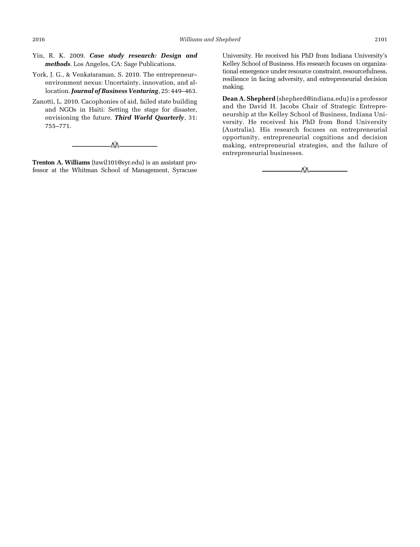- <span id="page-32-0"></span>Yin, R. K. 2009. Case study research: Design and methods. Los Angeles, CA: Sage Publications.
- York, J. G., & Venkataraman, S. 2010. The entrepreneur– environment nexus: Uncertainty, innovation, and allocation. Journal of Business Venturing, 25: 449-463.
- Zanotti, L. 2010. Cacophonies of aid, failed state building and NGOs in Haiti: Setting the stage for disaster, envisioning the future. Third World Quarterly, 31: 755–771.

- MA

Trenton A. Williams ([tawil101@syr.edu\)](mailto:tawil101@syr.edu) is an assistant professor at the Whitman School of Management, Syracuse

University. He received his PhD from Indiana University's Kelley School of Business. His research focuses on organizational emergence under resource constraint, resourcefulness, resilience in facing adversity, and entrepreneurial decision making.

Dean A. Shepherd ([shepherd@indiana.edu\)](mailto:shepherd@indiana.edu) is a professor and the David H. Jacobs Chair of Strategic Entrepreneurship at the Kelley School of Business, Indiana University. He received his PhD from Bond University (Australia). His research focuses on entrepreneurial opportunity, entrepreneurial cognitions and decision making, entrepreneurial strategies, and the failure of entrepreneurial businesses.

۸A.